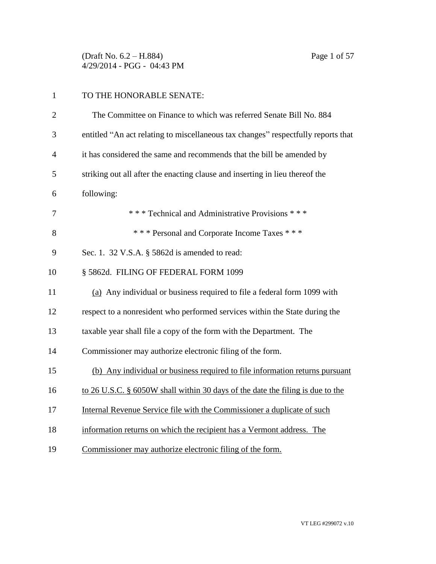(Draft No. 6.2 – H.884) Page 1 of 57 4/29/2014 - PGG - 04:43 PM

| $\mathbf{1}$   | TO THE HONORABLE SENATE:                                                          |
|----------------|-----------------------------------------------------------------------------------|
| $\overline{2}$ | The Committee on Finance to which was referred Senate Bill No. 884                |
| 3              | entitled "An act relating to miscellaneous tax changes" respectfully reports that |
| 4              | it has considered the same and recommends that the bill be amended by             |
| 5              | striking out all after the enacting clause and inserting in lieu thereof the      |
| 6              | following:                                                                        |
| 7              | *** Technical and Administrative Provisions ***                                   |
| 8              | *** Personal and Corporate Income Taxes ***                                       |
| 9              | Sec. 1. 32 V.S.A. § 5862d is amended to read:                                     |
| 10             | § 5862d. FILING OF FEDERAL FORM 1099                                              |
| 11             | (a) Any individual or business required to file a federal form 1099 with          |
| 12             | respect to a nonresident who performed services within the State during the       |
| 13             | taxable year shall file a copy of the form with the Department. The               |
| 14             | Commissioner may authorize electronic filing of the form.                         |
| 15             | (b) Any individual or business required to file information returns pursuant      |
| 16             | to 26 U.S.C. § 6050W shall within 30 days of the date the filing is due to the    |
| 17             | Internal Revenue Service file with the Commissioner a duplicate of such           |
| 18             | information returns on which the recipient has a Vermont address. The             |
| 19             | Commissioner may authorize electronic filing of the form.                         |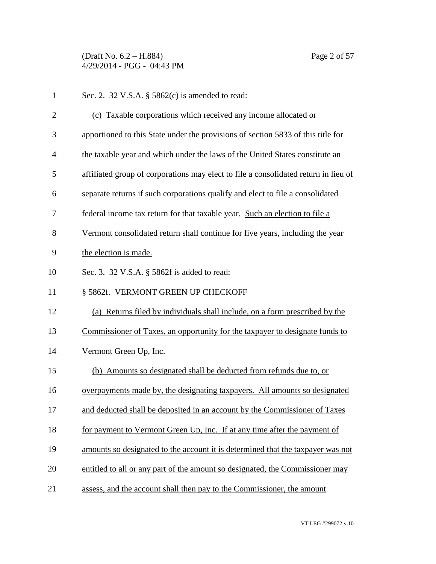(Draft No. 6.2 – H.884) Page 2 of 57 4/29/2014 - PGG - 04:43 PM

| $\mathbf{1}$   | Sec. 2. 32 V.S.A. § 5862(c) is amended to read:                                     |
|----------------|-------------------------------------------------------------------------------------|
| $\overline{2}$ | (c) Taxable corporations which received any income allocated or                     |
| 3              | apportioned to this State under the provisions of section 5833 of this title for    |
| 4              | the taxable year and which under the laws of the United States constitute an        |
| 5              | affiliated group of corporations may elect to file a consolidated return in lieu of |
| 6              | separate returns if such corporations qualify and elect to file a consolidated      |
| 7              | federal income tax return for that taxable year. Such an election to file a         |
| 8              | Vermont consolidated return shall continue for five years, including the year       |
| 9              | the election is made.                                                               |
| 10             | Sec. 3. 32 V.S.A. § 5862f is added to read:                                         |
| 11             | § 5862f. VERMONT GREEN UP CHECKOFF                                                  |
| 12             | (a) Returns filed by individuals shall include, on a form prescribed by the         |
| 13             | Commissioner of Taxes, an opportunity for the taxpayer to designate funds to        |
| 14             | Vermont Green Up, Inc.                                                              |
| 15             | (b) Amounts so designated shall be deducted from refunds due to, or                 |
| 16             | overpayments made by, the designating taxpayers. All amounts so designated          |
| 17             | and deducted shall be deposited in an account by the Commissioner of Taxes          |
| 18             | for payment to Vermont Green Up, Inc. If at any time after the payment of           |
| 19             | amounts so designated to the account it is determined that the taxpayer was not     |
| 20             | entitled to all or any part of the amount so designated, the Commissioner may       |
| 21             | assess, and the account shall then pay to the Commissioner, the amount              |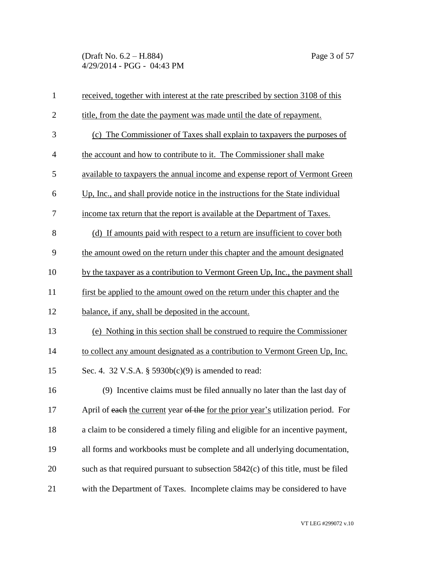(Draft No. 6.2 – H.884) Page 3 of 57 4/29/2014 - PGG - 04:43 PM

| $\mathbf{1}$   | received, together with interest at the rate prescribed by section 3108 of this    |
|----------------|------------------------------------------------------------------------------------|
| $\overline{2}$ | title, from the date the payment was made until the date of repayment.             |
| 3              | (c) The Commissioner of Taxes shall explain to taxpayers the purposes of           |
| $\overline{4}$ | the account and how to contribute to it. The Commissioner shall make               |
| 5              | available to taxpayers the annual income and expense report of Vermont Green       |
| 6              | Up, Inc., and shall provide notice in the instructions for the State individual    |
| 7              | income tax return that the report is available at the Department of Taxes.         |
| 8              | (d) If amounts paid with respect to a return are insufficient to cover both        |
| 9              | the amount owed on the return under this chapter and the amount designated         |
| 10             | by the taxpayer as a contribution to Vermont Green Up, Inc., the payment shall     |
| 11             | first be applied to the amount owed on the return under this chapter and the       |
| 12             | balance, if any, shall be deposited in the account.                                |
| 13             | (e) Nothing in this section shall be construed to require the Commissioner         |
| 14             | to collect any amount designated as a contribution to Vermont Green Up, Inc.       |
| 15             | Sec. 4. 32 V.S.A. § $5930b(c)(9)$ is amended to read:                              |
| 16             | (9) Incentive claims must be filed annually no later than the last day of          |
| 17             | April of each the current year of the for the prior year's utilization period. For |
| 18             | a claim to be considered a timely filing and eligible for an incentive payment,    |
| 19             | all forms and workbooks must be complete and all underlying documentation,         |
| 20             | such as that required pursuant to subsection 5842(c) of this title, must be filed  |
| 21             | with the Department of Taxes. Incomplete claims may be considered to have          |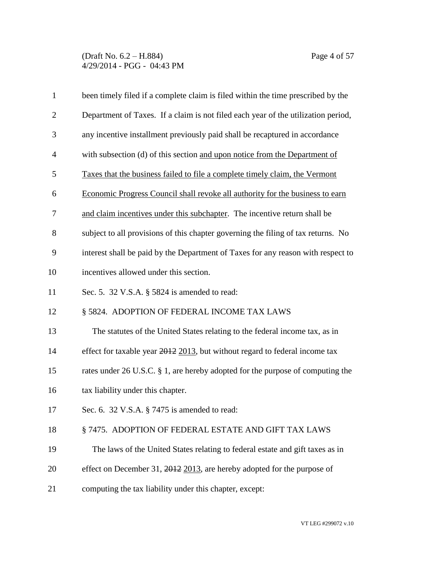| $\mathbf{1}$   | been timely filed if a complete claim is filed within the time prescribed by the   |
|----------------|------------------------------------------------------------------------------------|
| $\mathbf{2}$   | Department of Taxes. If a claim is not filed each year of the utilization period,  |
| 3              | any incentive installment previously paid shall be recaptured in accordance        |
| $\overline{4}$ | with subsection (d) of this section and upon notice from the Department of         |
| 5              | Taxes that the business failed to file a complete timely claim, the Vermont        |
| 6              | Economic Progress Council shall revoke all authority for the business to earn      |
| $\tau$         | and claim incentives under this subchapter. The incentive return shall be          |
| 8              | subject to all provisions of this chapter governing the filing of tax returns. No  |
| 9              | interest shall be paid by the Department of Taxes for any reason with respect to   |
| 10             | incentives allowed under this section.                                             |
| 11             | Sec. 5. 32 V.S.A. § 5824 is amended to read:                                       |
| 12             | § 5824. ADOPTION OF FEDERAL INCOME TAX LAWS                                        |
| 13             | The statutes of the United States relating to the federal income tax, as in        |
| 14             | effect for taxable year $2012$ , $2013$ , but without regard to federal income tax |
| 15             | rates under 26 U.S.C. § 1, are hereby adopted for the purpose of computing the     |
| 16             | tax liability under this chapter.                                                  |
| 17             | Sec. 6. 32 V.S.A. § 7475 is amended to read:                                       |
| 18             | § 7475. ADOPTION OF FEDERAL ESTATE AND GIFT TAX LAWS                               |
| 19             | The laws of the United States relating to federal estate and gift taxes as in      |
| 20             | effect on December 31, $2012$ 2013, are hereby adopted for the purpose of          |
| 21             | computing the tax liability under this chapter, except:                            |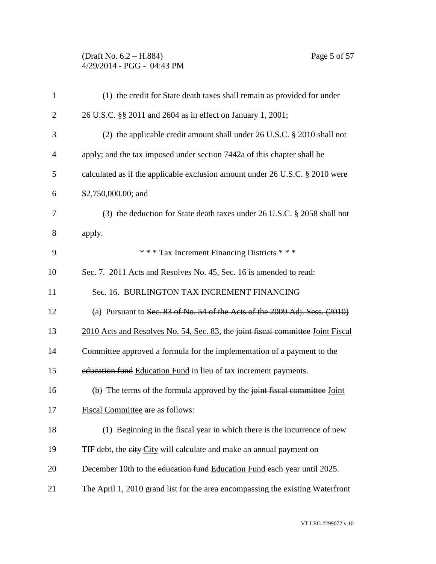(Draft No. 6.2 – H.884) Page 5 of 57 4/29/2014 - PGG - 04:43 PM

| $\mathbf{1}$   | (1) the credit for State death taxes shall remain as provided for under           |
|----------------|-----------------------------------------------------------------------------------|
| $\overline{2}$ | 26 U.S.C. §§ 2011 and 2604 as in effect on January 1, 2001;                       |
| 3              | (2) the applicable credit amount shall under $26$ U.S.C. $\S$ 2010 shall not      |
| $\overline{4}$ | apply; and the tax imposed under section 7442a of this chapter shall be           |
| 5              | calculated as if the applicable exclusion amount under 26 U.S.C. § 2010 were      |
| 6              | \$2,750,000.00; and                                                               |
| 7              | (3) the deduction for State death taxes under 26 U.S.C. § 2058 shall not          |
| 8              | apply.                                                                            |
| 9              | *** Tax Increment Financing Districts ***                                         |
| 10             | Sec. 7. 2011 Acts and Resolves No. 45, Sec. 16 is amended to read:                |
| 11             | Sec. 16. BURLINGTON TAX INCREMENT FINANCING                                       |
| 12             | (a) Pursuant to Sec. $83$ of No. $54$ of the Acts of the 2009 Adj. Sess. $(2010)$ |
| 13             | 2010 Acts and Resolves No. 54, Sec. 83, the joint fiscal committee Joint Fiscal   |
| 14             | Committee approved a formula for the implementation of a payment to the           |
| 15             | education fund Education Fund in lieu of tax increment payments.                  |
| 16             | (b) The terms of the formula approved by the joint fiscal committee Joint         |
| 17             | Fiscal Committee are as follows:                                                  |
| 18             | (1) Beginning in the fiscal year in which there is the incurrence of new          |
| 19             | TIF debt, the eity City will calculate and make an annual payment on              |
| 20             | December 10th to the education fund Education Fund each year until 2025.          |
| 21             | The April 1, 2010 grand list for the area encompassing the existing Waterfront    |
|                |                                                                                   |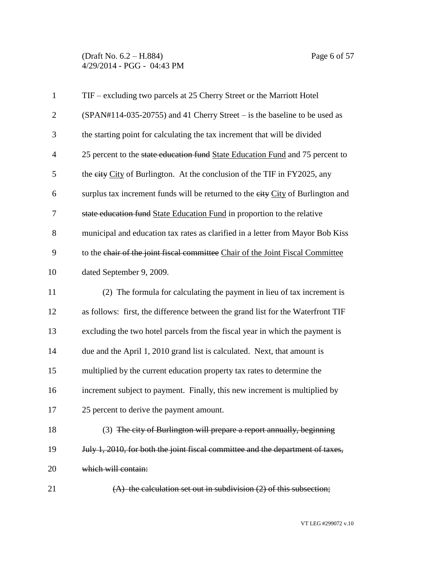(Draft No. 6.2 – H.884) Page 6 of 57 4/29/2014 - PGG - 04:43 PM

| $\mathbf{1}$   | TIF - excluding two parcels at 25 Cherry Street or the Marriott Hotel           |
|----------------|---------------------------------------------------------------------------------|
| $\overline{2}$ | $(SPAN#114-035-20755)$ and 41 Cherry Street – is the baseline to be used as     |
| 3              | the starting point for calculating the tax increment that will be divided       |
| $\overline{4}$ | 25 percent to the state education fund State Education Fund and 75 percent to   |
| 5              | the eity City of Burlington. At the conclusion of the TIF in FY2025, any        |
| 6              | surplus tax increment funds will be returned to the eity City of Burlington and |
| 7              | state education fund State Education Fund in proportion to the relative         |
| 8              | municipal and education tax rates as clarified in a letter from Mayor Bob Kiss  |
| 9              | to the chair of the joint fiscal committee Chair of the Joint Fiscal Committee  |
| 10             | dated September 9, 2009.                                                        |
| 11             | (2) The formula for calculating the payment in lieu of tax increment is         |
| 12             | as follows: first, the difference between the grand list for the Waterfront TIF |
| 13             | excluding the two hotel parcels from the fiscal year in which the payment is    |
| 14             | due and the April 1, 2010 grand list is calculated. Next, that amount is        |
| 15             | multiplied by the current education property tax rates to determine the         |
| 16             | increment subject to payment. Finally, this new increment is multiplied by      |
| 17             | 25 percent to derive the payment amount.                                        |
| 18             | (3) The city of Burlington will prepare a report annually, beginning            |
| 19             | July 1, 2010, for both the joint fiscal committee and the department of taxes,  |
| 20             | which will contain:                                                             |
| 21             | $(A)$ the calculation set out in subdivision $(2)$ of this subsection;          |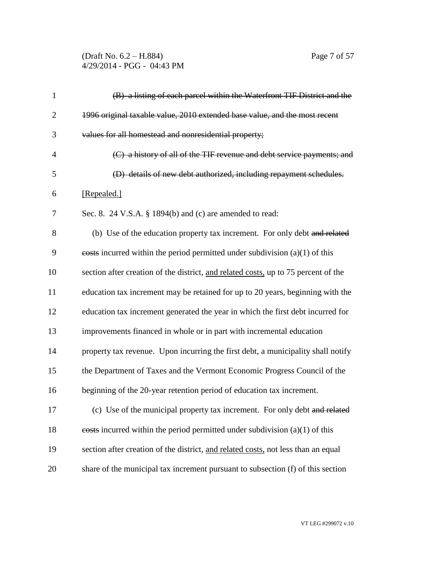(Draft No. 6.2 – H.884) Page 7 of 57 4/29/2014 - PGG - 04:43 PM

|                | of each parcel within the waterfrom TH Bibliot and the                                    |
|----------------|-------------------------------------------------------------------------------------------|
| $\overline{2}$ | 1996 original taxable value, 2010 extended base value, and the most recent                |
| 3              | values for all homestead and nonresidential property;                                     |
| 4              | (C) a history of all of the TIF revenue and debt service payments; and                    |
| 5              | (D) details of new debt authorized, including repayment schedules.                        |
| 6              | [Repealed.]                                                                               |
| 7              | Sec. 8. 24 V.S.A. § 1894(b) and (c) are amended to read:                                  |
| 8              | (b) Use of the education property tax increment. For only debt and related                |
| 9              | $\frac{1}{2}$ eosts incurred within the period permitted under subdivision (a)(1) of this |
| 10             | section after creation of the district, and related costs, up to 75 percent of the        |
| 11             | education tax increment may be retained for up to 20 years, beginning with the            |
| 12             | education tax increment generated the year in which the first debt incurred for           |
| 13             | improvements financed in whole or in part with incremental education                      |
| 14             | property tax revenue. Upon incurring the first debt, a municipality shall notify          |
| 15             | the Department of Taxes and the Vermont Economic Progress Council of the                  |
| 16             | beginning of the 20-year retention period of education tax increment.                     |
| 17             | (c) Use of the municipal property tax increment. For only debt and related                |
| 18             | $\frac{1}{2}$ eosts incurred within the period permitted under subdivision (a)(1) of this |
| 19             | section after creation of the district, and related costs, not less than an equal         |
| 20             | share of the municipal tax increment pursuant to subsection (f) of this section           |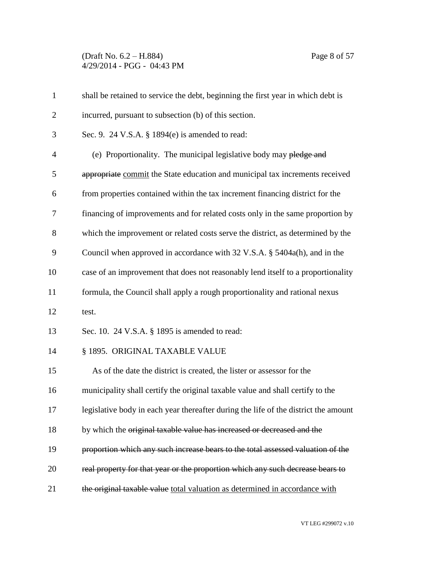(Draft No. 6.2 – H.884) Page 8 of 57 4/29/2014 - PGG - 04:43 PM

| $\mathbf{1}$   | shall be retained to service the debt, beginning the first year in which debt is    |
|----------------|-------------------------------------------------------------------------------------|
| $\overline{2}$ | incurred, pursuant to subsection (b) of this section.                               |
| 3              | Sec. 9. 24 V.S.A. $\S$ 1894(e) is amended to read:                                  |
| $\overline{4}$ | (e) Proportionality. The municipal legislative body may pledge and                  |
| 5              | appropriate commit the State education and municipal tax increments received        |
| 6              | from properties contained within the tax increment financing district for the       |
| 7              | financing of improvements and for related costs only in the same proportion by      |
| 8              | which the improvement or related costs serve the district, as determined by the     |
| 9              | Council when approved in accordance with 32 V.S.A. § 5404a(h), and in the           |
| 10             | case of an improvement that does not reasonably lend itself to a proportionality    |
| 11             | formula, the Council shall apply a rough proportionality and rational nexus         |
| 12             | test.                                                                               |
| 13             | Sec. 10. 24 V.S.A. § 1895 is amended to read:                                       |
| 14             | § 1895. ORIGINAL TAXABLE VALUE                                                      |
| 15             | As of the date the district is created, the lister or assessor for the              |
| 16             | municipality shall certify the original taxable value and shall certify to the      |
| 17             | legislative body in each year thereafter during the life of the district the amount |
| 18             | by which the original taxable value has increased or decreased and the              |
| 19             | proportion which any such increase bears to the total assessed valuation of the     |
| 20             | real property for that year or the proportion which any such decrease bears to      |
| 21             | the original taxable value total valuation as determined in accordance with         |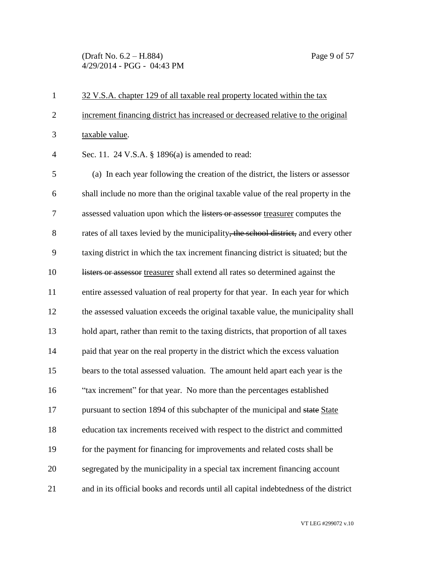(Draft No. 6.2 – H.884) Page 9 of 57 4/29/2014 - PGG - 04:43 PM

| $\mathbf{1}$   | 32 V.S.A. chapter 129 of all taxable real property located within the tax            |
|----------------|--------------------------------------------------------------------------------------|
| $\overline{2}$ | increment financing district has increased or decreased relative to the original     |
| 3              | taxable value.                                                                       |
| 4              | Sec. 11. 24 V.S.A. § 1896(a) is amended to read:                                     |
| 5              | (a) In each year following the creation of the district, the listers or assessor     |
| 6              | shall include no more than the original taxable value of the real property in the    |
| 7              | assessed valuation upon which the listers or assessor treasurer computes the         |
| 8              | rates of all taxes levied by the municipality, the school district, and every other  |
| 9              | taxing district in which the tax increment financing district is situated; but the   |
| 10             | listers or assessor treasurer shall extend all rates so determined against the       |
| 11             | entire assessed valuation of real property for that year. In each year for which     |
| 12             | the assessed valuation exceeds the original taxable value, the municipality shall    |
| 13             | hold apart, rather than remit to the taxing districts, that proportion of all taxes  |
| 14             | paid that year on the real property in the district which the excess valuation       |
| 15             | bears to the total assessed valuation. The amount held apart each year is the        |
| 16             | "tax increment" for that year. No more than the percentages established              |
| 17             | pursuant to section 1894 of this subchapter of the municipal and state State         |
| 18             | education tax increments received with respect to the district and committed         |
| 19             | for the payment for financing for improvements and related costs shall be            |
| 20             | segregated by the municipality in a special tax increment financing account          |
| 21             | and in its official books and records until all capital indebtedness of the district |

VT LEG #299072 v.10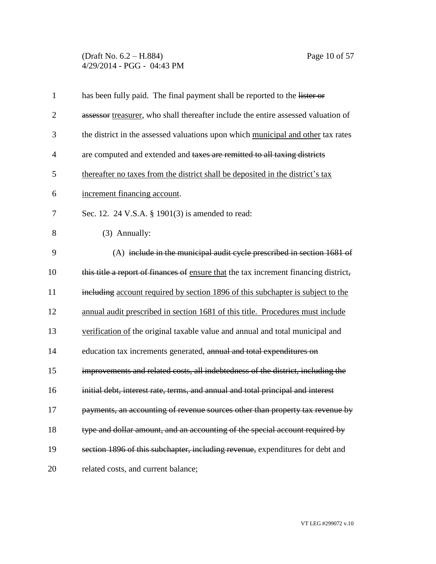#### (Draft No. 6.2 – H.884) Page 10 of 57 4/29/2014 - PGG - 04:43 PM

| $\mathbf{1}$   | has been fully paid. The final payment shall be reported to the lister or            |
|----------------|--------------------------------------------------------------------------------------|
| $\overline{2}$ | assessor treasurer, who shall thereafter include the entire assessed valuation of    |
| 3              | the district in the assessed valuations upon which municipal and other tax rates     |
| $\overline{4}$ | are computed and extended and taxes are remitted to all taxing districts             |
| 5              | thereafter no taxes from the district shall be deposited in the district's tax       |
| 6              | increment financing account.                                                         |
| 7              | Sec. 12. 24 V.S.A. § 1901(3) is amended to read:                                     |
| 8              | (3) Annually:                                                                        |
| 9              | (A) include in the municipal audit cycle prescribed in section 1681 of               |
| 10             | this title a report of finances of ensure that the tax increment financing district, |
| 11             | including account required by section 1896 of this subchapter is subject to the      |
| 12             | annual audit prescribed in section 1681 of this title. Procedures must include       |
| 13             | verification of the original taxable value and annual and total municipal and        |
| 14             | education tax increments generated, annual and total expenditures on                 |
| 15             | improvements and related costs, all indebtedness of the district, including the      |
| 16             | initial debt, interest rate, terms, and annual and total principal and interest      |
| 17             | payments, an accounting of revenue sources other than property tax revenue by        |
| 18             | type and dollar amount, and an accounting of the special account required by         |
| 19             | section 1896 of this subchapter, including revenue, expenditures for debt and        |
| 20             | related costs, and current balance;                                                  |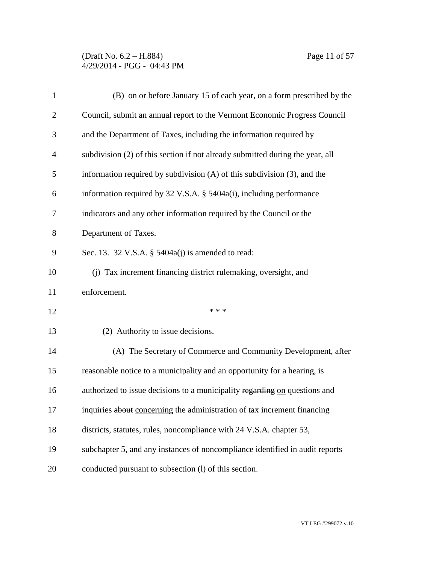## (Draft No. 6.2 – H.884) Page 11 of 57 4/29/2014 - PGG - 04:43 PM

| $\mathbf{1}$   | (B) on or before January 15 of each year, on a form prescribed by the         |
|----------------|-------------------------------------------------------------------------------|
| $\overline{2}$ | Council, submit an annual report to the Vermont Economic Progress Council     |
| 3              | and the Department of Taxes, including the information required by            |
| $\overline{4}$ | subdivision (2) of this section if not already submitted during the year, all |
| 5              | information required by subdivision $(A)$ of this subdivision $(3)$ , and the |
| 6              | information required by 32 V.S.A. § 5404a(i), including performance           |
| 7              | indicators and any other information required by the Council or the           |
| 8              | Department of Taxes.                                                          |
| 9              | Sec. 13. 32 V.S.A. $\S$ 5404a(j) is amended to read:                          |
| 10             | (j) Tax increment financing district rulemaking, oversight, and               |
| 11             | enforcement.                                                                  |
| 12             | * * *                                                                         |
| 13             | (2) Authority to issue decisions.                                             |
| 14             | (A) The Secretary of Commerce and Community Development, after                |
| 15             | reasonable notice to a municipality and an opportunity for a hearing, is      |
| 16             | authorized to issue decisions to a municipality regarding on questions and    |
| 17             | inquiries about concerning the administration of tax increment financing      |
| 18             | districts, statutes, rules, noncompliance with 24 V.S.A. chapter 53,          |
| 19             | subchapter 5, and any instances of noncompliance identified in audit reports  |
| 20             | conducted pursuant to subsection (I) of this section.                         |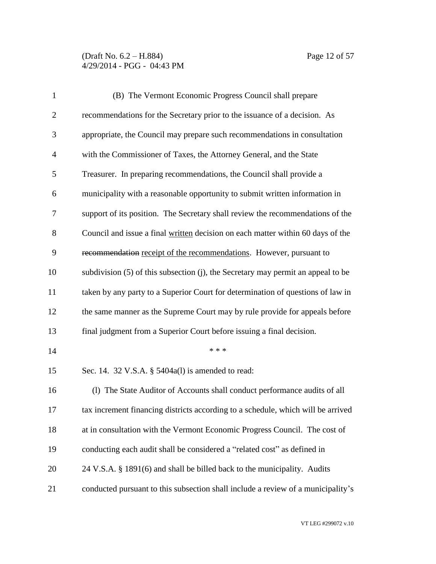(Draft No. 6.2 – H.884) Page 12 of 57 4/29/2014 - PGG - 04:43 PM

| $\mathbf{1}$   | (B) The Vermont Economic Progress Council shall prepare                          |
|----------------|----------------------------------------------------------------------------------|
| $\overline{2}$ | recommendations for the Secretary prior to the issuance of a decision. As        |
| 3              | appropriate, the Council may prepare such recommendations in consultation        |
| $\overline{4}$ | with the Commissioner of Taxes, the Attorney General, and the State              |
| 5              | Treasurer. In preparing recommendations, the Council shall provide a             |
| 6              | municipality with a reasonable opportunity to submit written information in      |
| 7              | support of its position. The Secretary shall review the recommendations of the   |
| 8              | Council and issue a final written decision on each matter within 60 days of the  |
| 9              | recommendation receipt of the recommendations. However, pursuant to              |
| 10             | subdivision (5) of this subsection (j), the Secretary may permit an appeal to be |
| 11             | taken by any party to a Superior Court for determination of questions of law in  |
| 12             | the same manner as the Supreme Court may by rule provide for appeals before      |
| 13             | final judgment from a Superior Court before issuing a final decision.            |
| 14             | * * *                                                                            |
| 15             | Sec. 14. 32 V.S.A. § 5404a(1) is amended to read:                                |
| 16             | (1) The State Auditor of Accounts shall conduct performance audits of all        |
| 17             | tax increment financing districts according to a schedule, which will be arrived |
| 18             | at in consultation with the Vermont Economic Progress Council. The cost of       |
| 19             | conducting each audit shall be considered a "related cost" as defined in         |
| 20             | 24 V.S.A. § 1891(6) and shall be billed back to the municipality. Audits         |
| 21             | conducted pursuant to this subsection shall include a review of a municipality's |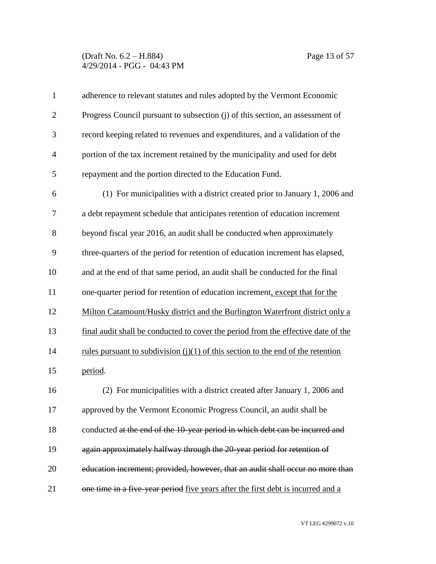### (Draft No. 6.2 – H.884) Page 13 of 57 4/29/2014 - PGG - 04:43 PM

| $\mathbf{1}$   | adherence to relevant statutes and rules adopted by the Vermont Economic           |
|----------------|------------------------------------------------------------------------------------|
| $\overline{2}$ | Progress Council pursuant to subsection (j) of this section, an assessment of      |
| 3              | record keeping related to revenues and expenditures, and a validation of the       |
| $\overline{4}$ | portion of the tax increment retained by the municipality and used for debt        |
| 5              | repayment and the portion directed to the Education Fund.                          |
| 6              | (1) For municipalities with a district created prior to January 1, 2006 and        |
| 7              | a debt repayment schedule that anticipates retention of education increment        |
| 8              | beyond fiscal year 2016, an audit shall be conducted when approximately            |
| 9              | three-quarters of the period for retention of education increment has elapsed,     |
| 10             | and at the end of that same period, an audit shall be conducted for the final      |
| 11             | one-quarter period for retention of education increment, except that for the       |
| 12             | Milton Catamount/Husky district and the Burlington Waterfront district only a      |
| 13             | final audit shall be conducted to cover the period from the effective date of the  |
| 14             | rules pursuant to subdivision $(i)(1)$ of this section to the end of the retention |
| 15             | period.                                                                            |
| 16             | (2) For municipalities with a district created after January 1, 2006 and           |
| 17             | approved by the Vermont Economic Progress Council, an audit shall be               |
| 18             | conducted at the end of the 10-year period in which debt can be incurred and       |
| 19             | again approximately halfway through the 20 year period for retention of            |
| 20             | education increment; provided, however, that an audit shall occur no more than     |
| 21             | one time in a five year period five years after the first debt is incurred and a   |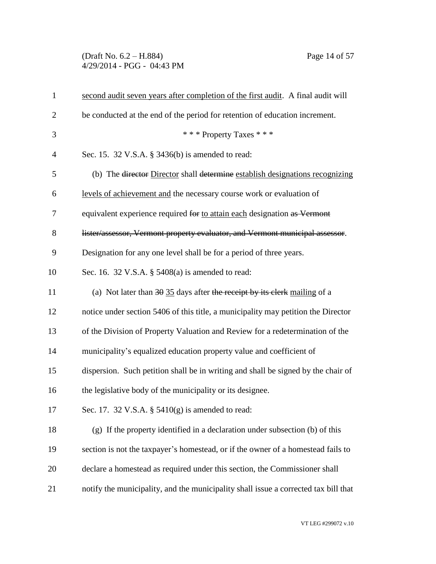# (Draft No. 6.2 – H.884) Page 14 of 57 4/29/2014 - PGG - 04:43 PM

| $\mathbf{1}$   | second audit seven years after completion of the first audit. A final audit will       |
|----------------|----------------------------------------------------------------------------------------|
| $\overline{2}$ | be conducted at the end of the period for retention of education increment.            |
| 3              | *** Property Taxes ***                                                                 |
| $\overline{4}$ | Sec. 15. 32 V.S.A. § 3436(b) is amended to read:                                       |
| 5              | (b) The director Director shall determine establish designations recognizing           |
| 6              | levels of achievement and the necessary course work or evaluation of                   |
| 7              | equivalent experience required for to attain each designation as Vermont               |
| 8              | lister/assessor, Vermont property evaluator, and Vermont municipal assessor.           |
| 9              | Designation for any one level shall be for a period of three years.                    |
| 10             | Sec. 16. 32 V.S.A. § 5408(a) is amended to read:                                       |
| 11             | (a) Not later than $30 \overline{35}$ days after the receipt by its clerk mailing of a |
| 12             | notice under section 5406 of this title, a municipality may petition the Director      |
| 13             | of the Division of Property Valuation and Review for a redetermination of the          |
| 14             | municipality's equalized education property value and coefficient of                   |
| 15             | dispersion. Such petition shall be in writing and shall be signed by the chair of      |
| 16             | the legislative body of the municipality or its designee.                              |
| 17             | Sec. 17. 32 V.S.A. § 5410(g) is amended to read:                                       |
| 18             | (g) If the property identified in a declaration under subsection (b) of this           |
| 19             | section is not the taxpayer's homestead, or if the owner of a homestead fails to       |
| 20             | declare a homestead as required under this section, the Commissioner shall             |
| 21             | notify the municipality, and the municipality shall issue a corrected tax bill that    |
|                |                                                                                        |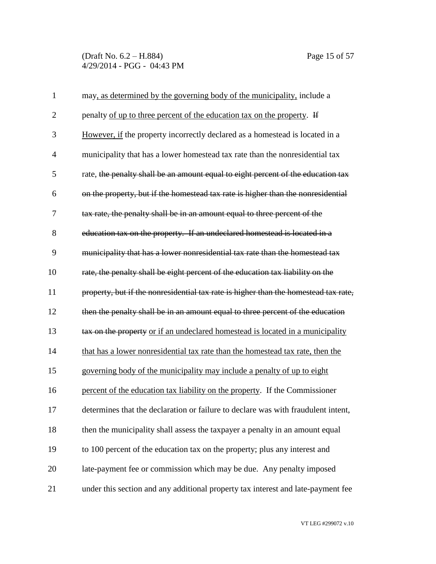(Draft No. 6.2 – H.884) Page 15 of 57 4/29/2014 - PGG - 04:43 PM

| $\mathbf{1}$   | may, as determined by the governing body of the municipality, include a             |
|----------------|-------------------------------------------------------------------------------------|
| $\overline{2}$ | penalty of up to three percent of the education tax on the property. If             |
| 3              | However, if the property incorrectly declared as a homestead is located in a        |
| $\overline{4}$ | municipality that has a lower homestead tax rate than the nonresidential tax        |
| 5              | rate, the penalty shall be an amount equal to eight percent of the education tax    |
| 6              | on the property, but if the homestead tax rate is higher than the nonresidential    |
| 7              | tax rate, the penalty shall be in an amount equal to three percent of the           |
| 8              | education tax on the property. If an undeclared homestead is located in a           |
| 9              | municipality that has a lower nonresidential tax rate than the homestead tax        |
| 10             | rate, the penalty shall be eight percent of the education tax liability on the      |
| 11             | property, but if the nonresidential tax rate is higher than the homestead tax rate, |
| 12             | then the penalty shall be in an amount equal to three percent of the education      |
| 13             | tax on the property or if an undeclared homestead is located in a municipality      |
| 14             | that has a lower nonresidential tax rate than the homestead tax rate, then the      |
| 15             | governing body of the municipality may include a penalty of up to eight             |
| 16             | percent of the education tax liability on the property. If the Commissioner         |
| 17             | determines that the declaration or failure to declare was with fraudulent intent,   |
| 18             | then the municipality shall assess the taxpayer a penalty in an amount equal        |
| 19             | to 100 percent of the education tax on the property; plus any interest and          |
| 20             | late-payment fee or commission which may be due. Any penalty imposed                |
| 21             | under this section and any additional property tax interest and late-payment fee    |

VT LEG #299072 v.10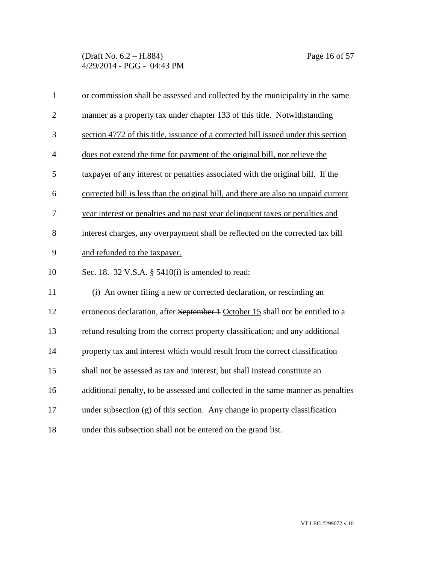(Draft No. 6.2 – H.884) Page 16 of 57 4/29/2014 - PGG - 04:43 PM

| $\mathbf{1}$   | or commission shall be assessed and collected by the municipality in the same       |
|----------------|-------------------------------------------------------------------------------------|
| $\overline{2}$ | manner as a property tax under chapter 133 of this title. Notwithstanding           |
| 3              | section 4772 of this title, issuance of a corrected bill issued under this section  |
| $\overline{4}$ | does not extend the time for payment of the original bill, nor relieve the          |
| 5              | taxpayer of any interest or penalties associated with the original bill. If the     |
| 6              | corrected bill is less than the original bill, and there are also no unpaid current |
| $\tau$         | year interest or penalties and no past year delinquent taxes or penalties and       |
| 8              | interest charges, any overpayment shall be reflected on the corrected tax bill      |
| 9              | and refunded to the taxpayer.                                                       |
| 10             | Sec. 18. 32 V.S.A. $\S$ 5410(i) is amended to read:                                 |
| 11             | (i) An owner filing a new or corrected declaration, or rescinding an                |
| 12             | erroneous declaration, after September 1 October 15 shall not be entitled to a      |
| 13             | refund resulting from the correct property classification; and any additional       |
| 14             | property tax and interest which would result from the correct classification        |
| 15             | shall not be assessed as tax and interest, but shall instead constitute an          |
| 16             | additional penalty, to be assessed and collected in the same manner as penalties    |
| 17             | under subsection $(g)$ of this section. Any change in property classification       |
| 18             | under this subsection shall not be entered on the grand list.                       |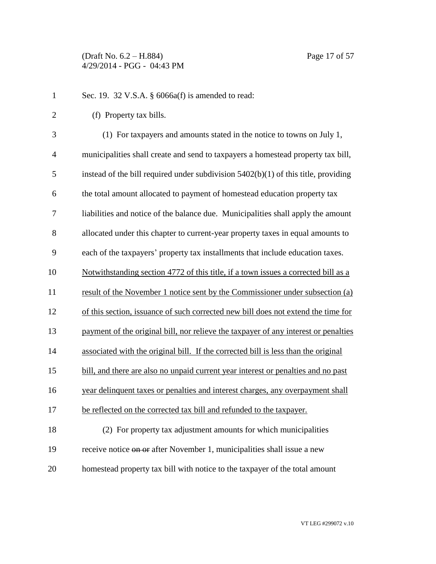| $\mathbf{1}$   | Sec. 19. 32 V.S.A. § 6066a(f) is amended to read:                                    |
|----------------|--------------------------------------------------------------------------------------|
| $\mathbf{2}$   | (f) Property tax bills.                                                              |
| 3              | (1) For taxpayers and amounts stated in the notice to towns on July 1,               |
| $\overline{4}$ | municipalities shall create and send to taxpayers a homestead property tax bill,     |
| 5              | instead of the bill required under subdivision $5402(b)(1)$ of this title, providing |
| 6              | the total amount allocated to payment of homestead education property tax            |
| 7              | liabilities and notice of the balance due. Municipalities shall apply the amount     |
| 8              | allocated under this chapter to current-year property taxes in equal amounts to      |
| 9              | each of the taxpayers' property tax installments that include education taxes.       |
| 10             | Notwithstanding section 4772 of this title, if a town issues a corrected bill as a   |
| 11             | result of the November 1 notice sent by the Commissioner under subsection (a)        |
| 12             | of this section, issuance of such corrected new bill does not extend the time for    |
| 13             | payment of the original bill, nor relieve the taxpayer of any interest or penalties  |
| 14             | associated with the original bill. If the corrected bill is less than the original   |
| 15             | bill, and there are also no unpaid current year interest or penalties and no past    |
| 16             | year delinquent taxes or penalties and interest charges, any overpayment shall       |
| 17             | be reflected on the corrected tax bill and refunded to the taxpayer.                 |
| 18             | (2) For property tax adjustment amounts for which municipalities                     |
| 19             | receive notice on or after November 1, municipalities shall issue a new              |
| 20             | homestead property tax bill with notice to the taxpayer of the total amount          |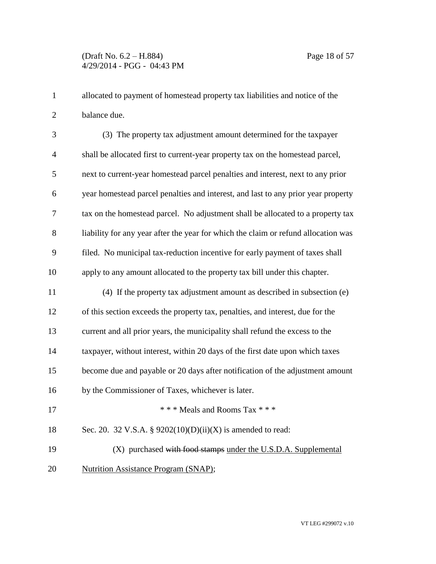allocated to payment of homestead property tax liabilities and notice of the balance due.

| 3              | (3) The property tax adjustment amount determined for the taxpayer                 |
|----------------|------------------------------------------------------------------------------------|
| $\overline{4}$ | shall be allocated first to current-year property tax on the homestead parcel,     |
| 5              | next to current-year homestead parcel penalties and interest, next to any prior    |
| 6              | year homestead parcel penalties and interest, and last to any prior year property  |
| 7              | tax on the homestead parcel. No adjustment shall be allocated to a property tax    |
| 8              | liability for any year after the year for which the claim or refund allocation was |
| 9              | filed. No municipal tax-reduction incentive for early payment of taxes shall       |
| 10             | apply to any amount allocated to the property tax bill under this chapter.         |
| 11             | (4) If the property tax adjustment amount as described in subsection (e)           |
| 12             | of this section exceeds the property tax, penalties, and interest, due for the     |
| 13             | current and all prior years, the municipality shall refund the excess to the       |
| 14             | taxpayer, without interest, within 20 days of the first date upon which taxes      |
| 15             | become due and payable or 20 days after notification of the adjustment amount      |
| 16             | by the Commissioner of Taxes, whichever is later.                                  |
| 17             | *** Meals and Rooms Tax ***                                                        |
| 18             | Sec. 20. 32 V.S.A. § 9202(10)(D)(ii)(X) is amended to read:                        |
| 19             | (X) purchased with food stamps under the U.S.D.A. Supplemental                     |
| 20             | <b>Nutrition Assistance Program (SNAP);</b>                                        |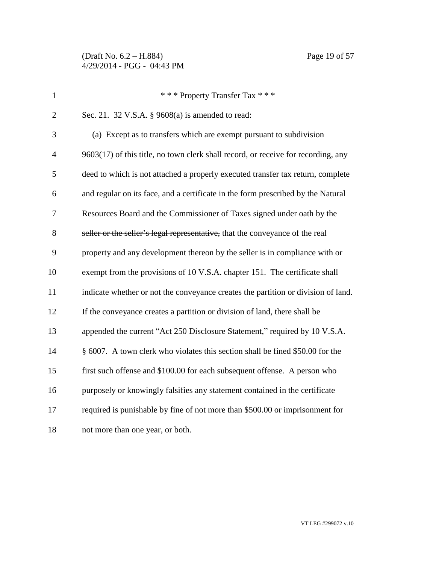(Draft No. 6.2 – H.884) Page 19 of 57 4/29/2014 - PGG - 04:43 PM

| $\mathbf{1}$   | *** Property Transfer Tax ***                                                     |
|----------------|-----------------------------------------------------------------------------------|
| $\overline{2}$ | Sec. 21. 32 V.S.A. § 9608(a) is amended to read:                                  |
| 3              | (a) Except as to transfers which are exempt pursuant to subdivision               |
| $\overline{4}$ | 9603(17) of this title, no town clerk shall record, or receive for recording, any |
| 5              | deed to which is not attached a properly executed transfer tax return, complete   |
| 6              | and regular on its face, and a certificate in the form prescribed by the Natural  |
| 7              | Resources Board and the Commissioner of Taxes signed under oath by the            |
| 8              | seller or the seller's legal representative, that the conveyance of the real      |
| 9              | property and any development thereon by the seller is in compliance with or       |
| 10             | exempt from the provisions of 10 V.S.A. chapter 151. The certificate shall        |
| 11             | indicate whether or not the conveyance creates the partition or division of land. |
| 12             | If the conveyance creates a partition or division of land, there shall be         |
| 13             | appended the current "Act 250 Disclosure Statement," required by 10 V.S.A.        |
| 14             | § 6007. A town clerk who violates this section shall be fined \$50.00 for the     |
| 15             | first such offense and \$100.00 for each subsequent offense. A person who         |
| 16             | purposely or knowingly falsifies any statement contained in the certificate       |
|                |                                                                                   |

- required is punishable by fine of not more than \$500.00 or imprisonment for
- not more than one year, or both.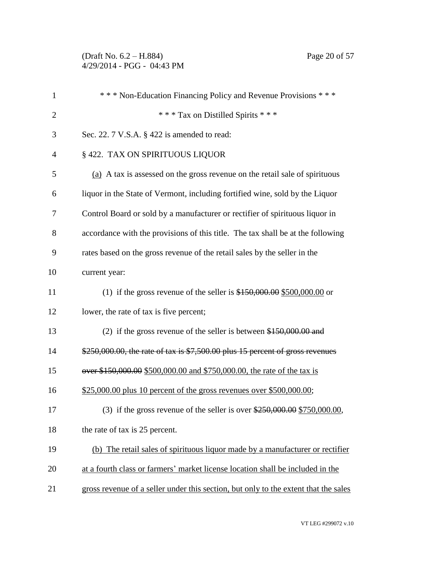(Draft No. 6.2 – H.884) Page 20 of 57 4/29/2014 - PGG - 04:43 PM

| $\mathbf{1}$   | *** Non-Education Financing Policy and Revenue Provisions ***                       |
|----------------|-------------------------------------------------------------------------------------|
| $\overline{2}$ | *** Tax on Distilled Spirits ***                                                    |
| 3              | Sec. 22. 7 V.S.A. § 422 is amended to read:                                         |
| $\overline{4}$ | § 422. TAX ON SPIRITUOUS LIQUOR                                                     |
| 5              | (a) A tax is assessed on the gross revenue on the retail sale of spirituous         |
| 6              | liquor in the State of Vermont, including fortified wine, sold by the Liquor        |
| 7              | Control Board or sold by a manufacturer or rectifier of spirituous liquor in        |
| 8              | accordance with the provisions of this title. The tax shall be at the following     |
| 9              | rates based on the gross revenue of the retail sales by the seller in the           |
| 10             | current year:                                                                       |
| 11             | (1) if the gross revenue of the seller is $$150,000.00$ \$500,000.00 or             |
| 12             | lower, the rate of tax is five percent;                                             |
| 13             | (2) if the gross revenue of the seller is between $$150,000.00$ and                 |
| 14             | \$250,000.00, the rate of tax is \$7,500.00 plus 15 percent of gross revenues       |
| 15             | over \$150,000.00 \$500,000.00 and \$750,000.00, the rate of the tax is             |
| 16             | \$25,000.00 plus 10 percent of the gross revenues over \$500,000.00;                |
| 17             | (3) if the gross revenue of the seller is over $\frac{$250,000.00}{$750,000.00}$ ,  |
| 18             | the rate of tax is 25 percent.                                                      |
| 19             | (b) The retail sales of spirituous liquor made by a manufacturer or rectifier       |
| 20             | at a fourth class or farmers' market license location shall be included in the      |
| 21             | gross revenue of a seller under this section, but only to the extent that the sales |
|                |                                                                                     |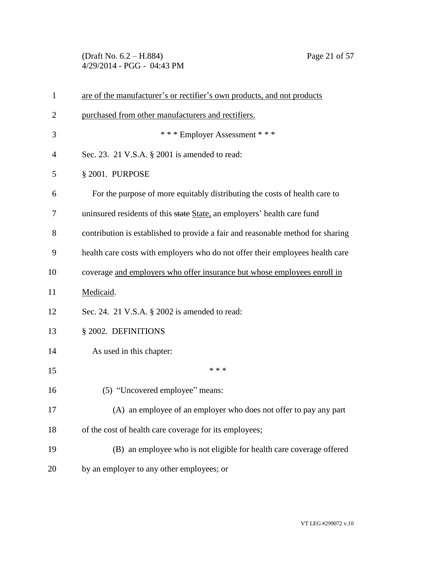(Draft No. 6.2 – H.884) Page 21 of 57 4/29/2014 - PGG - 04:43 PM

| $\mathbf{1}$ | are of the manufacturer's or rectifier's own products, and not products         |
|--------------|---------------------------------------------------------------------------------|
| 2            | purchased from other manufacturers and rectifiers.                              |
| 3            | *** Employer Assessment ***                                                     |
| 4            | Sec. 23. 21 V.S.A. § 2001 is amended to read:                                   |
| 5            | § 2001. PURPOSE                                                                 |
| 6            | For the purpose of more equitably distributing the costs of health care to      |
| 7            | uninsured residents of this state State, an employers' health care fund         |
| 8            | contribution is established to provide a fair and reasonable method for sharing |
| 9            | health care costs with employers who do not offer their employees health care   |
| 10           | coverage and employers who offer insurance but whose employees enroll in        |
| 11           | Medicaid.                                                                       |
| 12           | Sec. 24. 21 V.S.A. § 2002 is amended to read:                                   |
| 13           | § 2002. DEFINITIONS                                                             |
| 14           | As used in this chapter:                                                        |
| 15           | * * *                                                                           |
| 16           | (5) "Uncovered employee" means:                                                 |
| 17           | (A) an employee of an employer who does not offer to pay any part               |
| 18           | of the cost of health care coverage for its employees;                          |
| 19           | (B) an employee who is not eligible for health care coverage offered            |
| 20           | by an employer to any other employees; or                                       |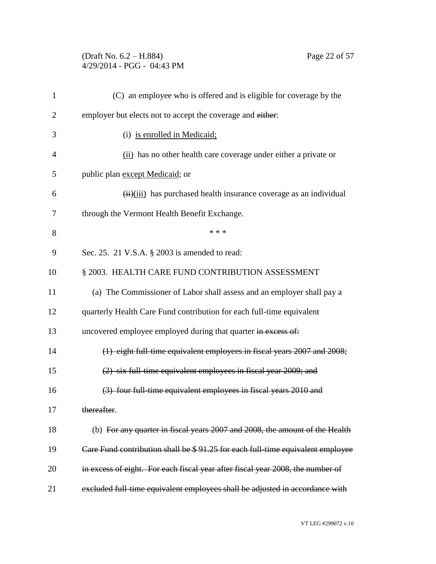(Draft No. 6.2 – H.884) Page 22 of 57 4/29/2014 - PGG - 04:43 PM

| $\mathbf{1}$   | (C) an employee who is offered and is eligible for coverage by the             |
|----------------|--------------------------------------------------------------------------------|
| $\overline{2}$ | employer but elects not to accept the coverage and either:                     |
| 3              | (i) is enrolled in Medicaid;                                                   |
| $\overline{4}$ | (ii) has no other health care coverage under either a private or               |
| 5              | public plan except Medicaid; or                                                |
| 6              | (ii)(iii) has purchased health insurance coverage as an individual             |
| 7              | through the Vermont Health Benefit Exchange.                                   |
| 8              | * * *                                                                          |
| 9              | Sec. 25. 21 V.S.A. § 2003 is amended to read:                                  |
| 10             | § 2003. HEALTH CARE FUND CONTRIBUTION ASSESSMENT                               |
| 11             | (a) The Commissioner of Labor shall assess and an employer shall pay a         |
| 12             | quarterly Health Care Fund contribution for each full-time equivalent          |
| 13             | uncovered employee employed during that quarter in excess of:                  |
| 14             | (1) eight full-time equivalent employees in fiscal years 2007 and 2008;        |
| 15             | (2) six full-time equivalent employees in fiscal year 2009; and                |
| 16             | (3) four full time equivalent employees in fiscal years 2010 and               |
| 17             | thereafter.                                                                    |
| 18             | (b) For any quarter in fiscal years 2007 and 2008, the amount of the Health    |
| 19             | Care Fund contribution shall be \$91.25 for each full-time equivalent employee |
| 20             | in excess of eight. For each fiscal year after fiscal year 2008, the number of |
| 21             | excluded full time equivalent employees shall be adjusted in accordance with   |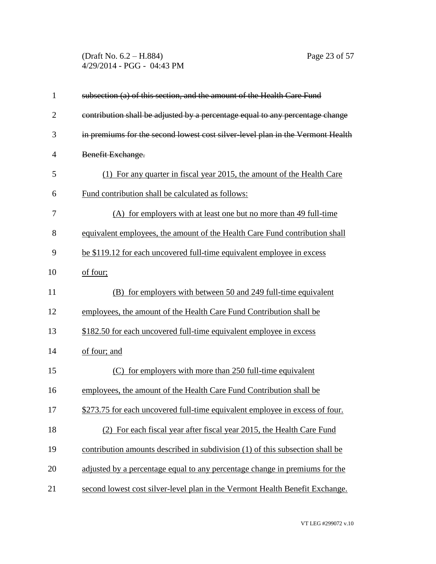(Draft No. 6.2 – H.884) Page 23 of 57 4/29/2014 - PGG - 04:43 PM

| $\mathbf{1}$   | subsection (a) of this section, and the amount of the Health Care Fund         |
|----------------|--------------------------------------------------------------------------------|
| $\overline{2}$ | contribution shall be adjusted by a percentage equal to any percentage change  |
| 3              | in premiums for the second lowest cost silver-level plan in the Vermont Health |
| $\overline{4}$ | Benefit Exchange.                                                              |
| 5              | (1) For any quarter in fiscal year 2015, the amount of the Health Care         |
| 6              | Fund contribution shall be calculated as follows:                              |
| 7              | (A) for employers with at least one but no more than 49 full-time              |
| 8              | equivalent employees, the amount of the Health Care Fund contribution shall    |
| 9              | be \$119.12 for each uncovered full-time equivalent employee in excess         |
| 10             | of four;                                                                       |
| 11             | (B) for employers with between 50 and 249 full-time equivalent                 |
| 12             | employees, the amount of the Health Care Fund Contribution shall be            |
| 13             | \$182.50 for each uncovered full-time equivalent employee in excess            |
| 14             | of four; and                                                                   |
| 15             | (C) for employers with more than 250 full-time equivalent                      |
| 16             | employees, the amount of the Health Care Fund Contribution shall be            |
| 17             | \$273.75 for each uncovered full-time equivalent employee in excess of four.   |
| 18             | For each fiscal year after fiscal year 2015, the Health Care Fund              |
| 19             | contribution amounts described in subdivision (1) of this subsection shall be  |
| 20             | adjusted by a percentage equal to any percentage change in premiums for the    |
| 21             | second lowest cost silver-level plan in the Vermont Health Benefit Exchange.   |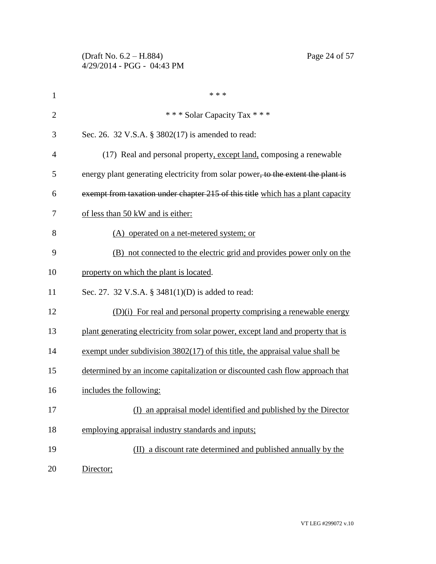(Draft No. 6.2 – H.884) Page 24 of 57 4/29/2014 - PGG - 04:43 PM

| $\mathbf{1}$   | * * *                                                                            |
|----------------|----------------------------------------------------------------------------------|
| $\overline{2}$ | *** Solar Capacity Tax ***                                                       |
| 3              | Sec. 26. 32 V.S.A. § 3802(17) is amended to read:                                |
| 4              | (17) Real and personal property, except land, composing a renewable              |
| 5              | energy plant generating electricity from solar power, to the extent the plant is |
| 6              | exempt from taxation under chapter 215 of this title which has a plant capacity  |
| 7              | of less than 50 kW and is either:                                                |
| 8              | (A) operated on a net-metered system; or                                         |
| 9              | (B) not connected to the electric grid and provides power only on the            |
| 10             | property on which the plant is located.                                          |
| 11             | Sec. 27. 32 V.S.A. § 3481(1)(D) is added to read:                                |
| 12             | (D)(i) For real and personal property comprising a renewable energy              |
| 13             | plant generating electricity from solar power, except land and property that is  |
| 14             | exempt under subdivision $3802(17)$ of this title, the appraisal value shall be  |
| 15             | determined by an income capitalization or discounted cash flow approach that     |
| 16             | includes the following:                                                          |
| 17             | (I) an appraisal model identified and published by the Director                  |
| 18             | employing appraisal industry standards and inputs;                               |
| 19             | (II) a discount rate determined and published annually by the                    |
| 20             | Director;                                                                        |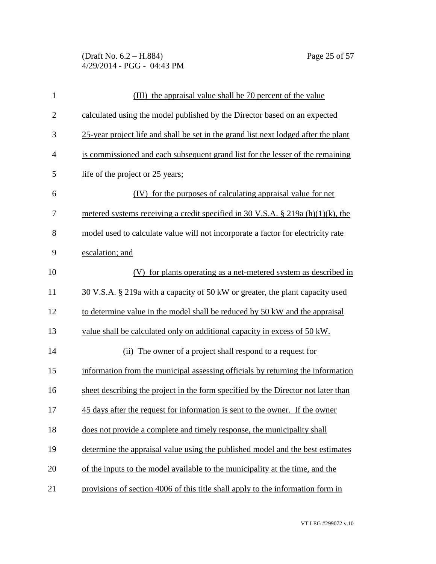(Draft No. 6.2 – H.884) Page 25 of 57 4/29/2014 - PGG - 04:43 PM

| $\mathbf{1}$   | (III) the appraisal value shall be 70 percent of the value                          |
|----------------|-------------------------------------------------------------------------------------|
| $\mathbf{2}$   | calculated using the model published by the Director based on an expected           |
| 3              | 25-year project life and shall be set in the grand list next lodged after the plant |
| $\overline{4}$ | is commissioned and each subsequent grand list for the lesser of the remaining      |
| 5              | life of the project or 25 years;                                                    |
| 6              | (IV) for the purposes of calculating appraisal value for net                        |
| 7              | metered systems receiving a credit specified in 30 V.S.A. § 219a (h)(1)(k), the     |
| 8              | model used to calculate value will not incorporate a factor for electricity rate    |
| 9              | escalation; and                                                                     |
| 10             | (V) for plants operating as a net-metered system as described in                    |
| 11             | 30 V.S.A. § 219a with a capacity of 50 kW or greater, the plant capacity used       |
| 12             | to determine value in the model shall be reduced by 50 kW and the appraisal         |
| 13             | value shall be calculated only on additional capacity in excess of 50 kW.           |
| 14             | (ii) The owner of a project shall respond to a request for                          |
| 15             | information from the municipal assessing officials by returning the information     |
| 16             | sheet describing the project in the form specified by the Director not later than   |
| 17             | 45 days after the request for information is sent to the owner. If the owner        |
| 18             | does not provide a complete and timely response, the municipality shall             |
| 19             | determine the appraisal value using the published model and the best estimates      |
| 20             | of the inputs to the model available to the municipality at the time, and the       |
| 21             | provisions of section 4006 of this title shall apply to the information form in     |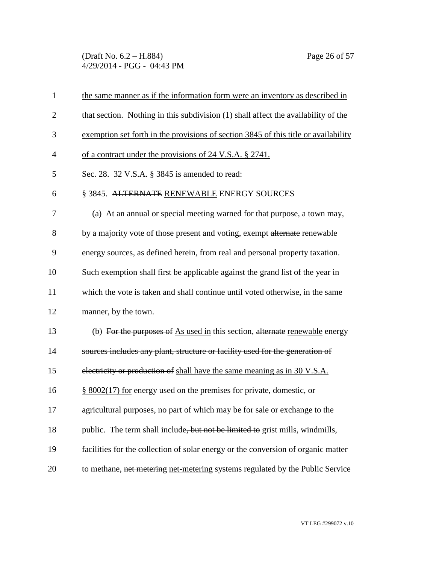(Draft No. 6.2 – H.884) Page 26 of 57 4/29/2014 - PGG - 04:43 PM

| $\mathbf{1}$   | the same manner as if the information form were an inventory as described in        |
|----------------|-------------------------------------------------------------------------------------|
| $\overline{2}$ | that section. Nothing in this subdivision (1) shall affect the availability of the  |
| 3              | exemption set forth in the provisions of section 3845 of this title or availability |
| $\overline{4}$ | of a contract under the provisions of 24 V.S.A. § 2741.                             |
| 5              | Sec. 28. 32 V.S.A. § 3845 is amended to read:                                       |
| 6              | § 3845. ALTERNATE RENEWABLE ENERGY SOURCES                                          |
| 7              | (a) At an annual or special meeting warned for that purpose, a town may,            |
| 8              | by a majority vote of those present and voting, exempt alternate renewable          |
| 9              | energy sources, as defined herein, from real and personal property taxation.        |
| 10             | Such exemption shall first be applicable against the grand list of the year in      |
| 11             | which the vote is taken and shall continue until voted otherwise, in the same       |
| 12             | manner, by the town.                                                                |
| 13             | (b) For the purposes of As used in this section, alternate renewable energy         |
| 14             | sources includes any plant, structure or facility used for the generation of        |
| 15             | electricity or production of shall have the same meaning as in 30 V.S.A.            |
| 16             | $\S$ 8002(17) for energy used on the premises for private, domestic, or             |
| 17             | agricultural purposes, no part of which may be for sale or exchange to the          |
| 18             | public. The term shall include, but not be limited to grist mills, windmills,       |
| 19             | facilities for the collection of solar energy or the conversion of organic matter   |
| 20             | to methane, net metering net-metering systems regulated by the Public Service       |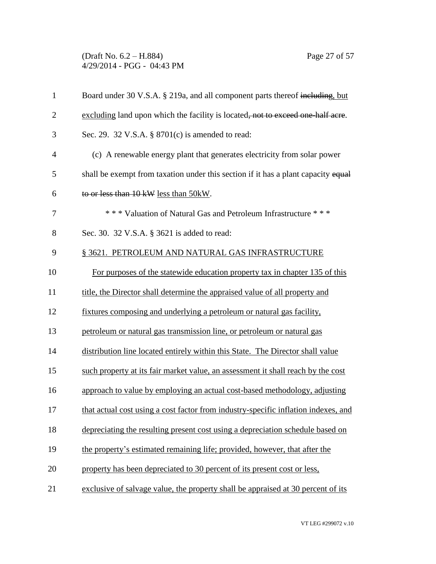(Draft No. 6.2 – H.884) Page 27 of 57 4/29/2014 - PGG - 04:43 PM

| $\mathbf{1}$   | Board under 30 V.S.A. § 219a, and all component parts thereof including, but       |
|----------------|------------------------------------------------------------------------------------|
| $\overline{2}$ | excluding land upon which the facility is located, not to exceed one-half acre.    |
| 3              | Sec. 29. 32 V.S.A. § 8701(c) is amended to read:                                   |
| 4              | (c) A renewable energy plant that generates electricity from solar power           |
| 5              | shall be exempt from taxation under this section if it has a plant capacity equal  |
| 6              | to or less than 10 kW less than 50kW.                                              |
| 7              | *** Valuation of Natural Gas and Petroleum Infrastructure ***                      |
| 8              | Sec. 30. 32 V.S.A. § 3621 is added to read:                                        |
| 9              | § 3621. PETROLEUM AND NATURAL GAS INFRASTRUCTURE                                   |
| 10             | For purposes of the statewide education property tax in chapter 135 of this        |
| 11             | title, the Director shall determine the appraised value of all property and        |
| 12             | fixtures composing and underlying a petroleum or natural gas facility,             |
| 13             | petroleum or natural gas transmission line, or petroleum or natural gas            |
| 14             | distribution line located entirely within this State. The Director shall value     |
| 15             | such property at its fair market value, an assessment it shall reach by the cost   |
| 16             | approach to value by employing an actual cost-based methodology, adjusting         |
| 17             | that actual cost using a cost factor from industry-specific inflation indexes, and |
| 18             | depreciating the resulting present cost using a depreciation schedule based on     |
| 19             | the property's estimated remaining life; provided, however, that after the         |
| 20             | property has been depreciated to 30 percent of its present cost or less,           |
| 21             | exclusive of salvage value, the property shall be appraised at 30 percent of its   |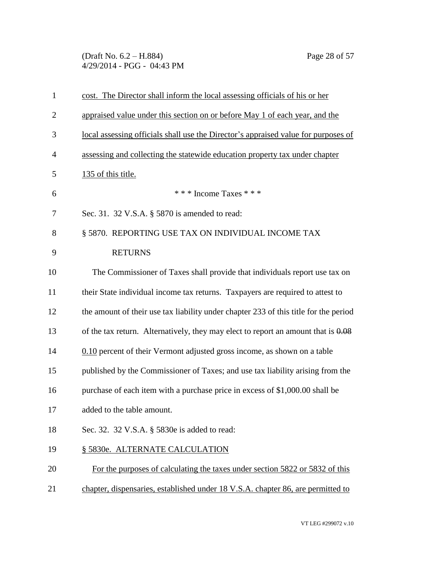(Draft No. 6.2 – H.884) Page 28 of 57 4/29/2014 - PGG - 04:43 PM

| 1              | cost. The Director shall inform the local assessing officials of his or her          |
|----------------|--------------------------------------------------------------------------------------|
| $\overline{2}$ | appraised value under this section on or before May 1 of each year, and the          |
| 3              | local assessing officials shall use the Director's appraised value for purposes of   |
| $\overline{4}$ | assessing and collecting the statewide education property tax under chapter          |
| 5              | 135 of this title.                                                                   |
| 6              | *** Income Taxes ***                                                                 |
| 7              | Sec. 31. 32 V.S.A. § 5870 is amended to read:                                        |
| 8              | § 5870. REPORTING USE TAX ON INDIVIDUAL INCOME TAX                                   |
| 9              | <b>RETURNS</b>                                                                       |
| 10             | The Commissioner of Taxes shall provide that individuals report use tax on           |
| 11             | their State individual income tax returns. Taxpayers are required to attest to       |
| 12             | the amount of their use tax liability under chapter 233 of this title for the period |
| 13             | of the tax return. Alternatively, they may elect to report an amount that is $0.08$  |
| 14             | $0.10$ percent of their Vermont adjusted gross income, as shown on a table           |
| 15             | published by the Commissioner of Taxes; and use tax liability arising from the       |
| 16             | purchase of each item with a purchase price in excess of \$1,000.00 shall be         |
| 17             | added to the table amount.                                                           |
| 18             | Sec. 32. 32 V.S.A. § 5830e is added to read:                                         |
| 19             | § 5830e. ALTERNATE CALCULATION                                                       |
| 20             | For the purposes of calculating the taxes under section 5822 or 5832 of this         |
| 21             | chapter, dispensaries, established under 18 V.S.A. chapter 86, are permitted to      |
|                |                                                                                      |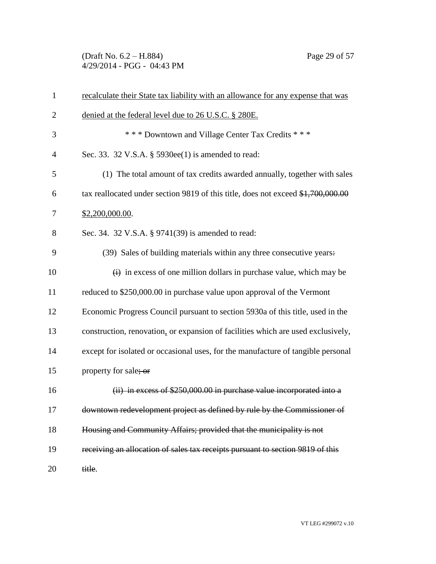(Draft No. 6.2 – H.884) Page 29 of 57 4/29/2014 - PGG - 04:43 PM

| $\mathbf{1}$   | recalculate their State tax liability with an allowance for any expense that was      |
|----------------|---------------------------------------------------------------------------------------|
| $\overline{2}$ | denied at the federal level due to 26 U.S.C. § 280E.                                  |
| 3              | *** Downtown and Village Center Tax Credits ***                                       |
| 4              | Sec. 33. 32 V.S.A. § 5930ee(1) is amended to read:                                    |
| 5              | (1) The total amount of tax credits awarded annually, together with sales             |
| 6              | tax reallocated under section 9819 of this title, does not exceed \$1,700,000.00      |
| 7              | \$2,200,000.00.                                                                       |
| 8              | Sec. 34. 32 V.S.A. § 9741(39) is amended to read:                                     |
| 9              | (39) Sales of building materials within any three consecutive years:                  |
| 10             | $\overrightarrow{H}$ in excess of one million dollars in purchase value, which may be |
| 11             | reduced to \$250,000.00 in purchase value upon approval of the Vermont                |
| 12             | Economic Progress Council pursuant to section 5930a of this title, used in the        |
| 13             | construction, renovation, or expansion of facilities which are used exclusively,      |
| 14             | except for isolated or occasional uses, for the manufacture of tangible personal      |
| 15             | property for sale; or                                                                 |
| 16             | (ii) in excess of \$250,000.00 in purchase value incorporated into a                  |
| 17             | downtown redevelopment project as defined by rule by the Commissioner of              |
| 18             | Housing and Community Affairs; provided that the municipality is not                  |
| 19             | receiving an allocation of sales tax receipts pursuant to section 9819 of this        |
| 20             | title.                                                                                |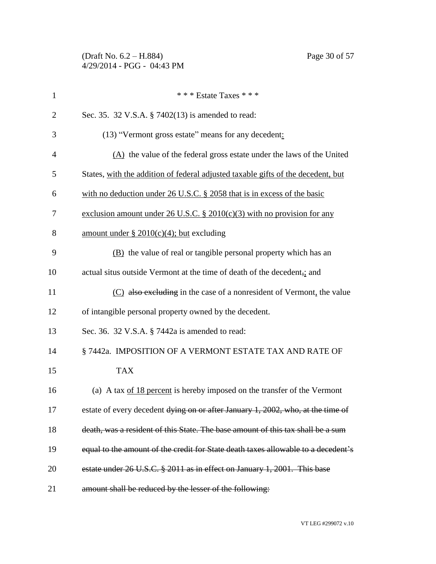(Draft No. 6.2 – H.884) Page 30 of 57 4/29/2014 - PGG - 04:43 PM

| $\mathbf{1}$   | *** Estate Taxes ***                                                              |
|----------------|-----------------------------------------------------------------------------------|
| $\overline{2}$ | Sec. 35. 32 V.S.A. § 7402(13) is amended to read:                                 |
| 3              | (13) "Vermont gross estate" means for any decedent:                               |
| $\overline{4}$ | $(A)$ the value of the federal gross estate under the laws of the United          |
| 5              | States, with the addition of federal adjusted taxable gifts of the decedent, but  |
| 6              | with no deduction under $26$ U.S.C. § 2058 that is in excess of the basic         |
| 7              | exclusion amount under $26$ U.S.C. § $2010(c)(3)$ with no provision for any       |
| 8              | amount under § $2010(c)(4)$ ; but excluding                                       |
| 9              | (B) the value of real or tangible personal property which has an                  |
| 10             | actual situs outside Vermont at the time of death of the decedent,; and           |
| 11             | (C) also excluding in the case of a nonresident of Vermont, the value             |
| 12             | of intangible personal property owned by the decedent.                            |
| 13             | Sec. 36. 32 V.S.A. § 7442a is amended to read:                                    |
| 14             | §7442a. IMPOSITION OF A VERMONT ESTATE TAX AND RATE OF                            |
| 15             | <b>TAX</b>                                                                        |
| 16             | (a) A tax of 18 percent is hereby imposed on the transfer of the Vermont          |
| 17             | estate of every decedent dying on or after January 1, 2002, who, at the time of   |
| 18             | death, was a resident of this State. The base amount of this tax shall be a sum   |
| 19             | equal to the amount of the credit for State death taxes allowable to a decedent's |
| 20             | estate under 26 U.S.C. § 2011 as in effect on January 1, 2001. This base          |
| 21             | amount shall be reduced by the lesser of the following:                           |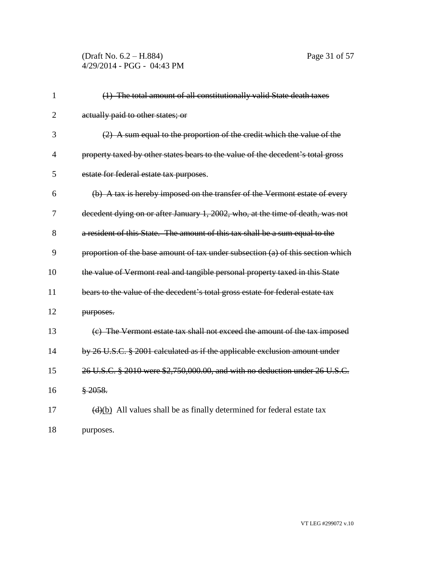| $\mathbf{1}$   | (1) The total amount of all constitutionally valid State death taxes                        |
|----------------|---------------------------------------------------------------------------------------------|
| $\overline{2}$ | actually paid to other states; or                                                           |
| 3              | $(2)$ A sum equal to the proportion of the credit which the value of the                    |
| $\overline{4}$ | property taxed by other states bears to the value of the decedent's total gross             |
| 5              | estate for federal estate tax purposes.                                                     |
| 6              | (b) A tax is hereby imposed on the transfer of the Vermont estate of every                  |
| 7              | decedent dying on or after January 1, 2002, who, at the time of death, was not              |
| 8              | a resident of this State. The amount of this tax shall be a sum equal to the                |
| 9              | proportion of the base amount of tax under subsection (a) of this section which             |
| 10             | the value of Vermont real and tangible personal property taxed in this State                |
| 11             | bears to the value of the decedent's total gross estate for federal estate tax              |
| 12             | purposes.                                                                                   |
| 13             | (c) The Vermont estate tax shall not exceed the amount of the tax imposed                   |
| 14             | by 26 U.S.C. § 2001 calculated as if the applicable exclusion amount under                  |
| 15             | 26 U.S.C. § 2010 were \$2,750,000.00, and with no deduction under 26 U.S.C.                 |
| 16             | \$2058.                                                                                     |
| 17             | $\left(\frac{d}{b}\right)$ All values shall be as finally determined for federal estate tax |
|                |                                                                                             |

purposes.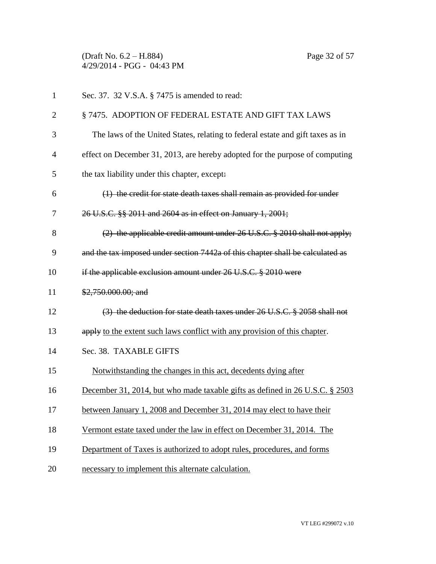(Draft No. 6.2 – H.884) Page 32 of 57 4/29/2014 - PGG - 04:43 PM

| 1              | Sec. 37. 32 V.S.A. § 7475 is amended to read:                                  |
|----------------|--------------------------------------------------------------------------------|
| $\overline{2}$ | § 7475. ADOPTION OF FEDERAL ESTATE AND GIFT TAX LAWS                           |
| 3              | The laws of the United States, relating to federal estate and gift taxes as in |
| 4              | effect on December 31, 2013, are hereby adopted for the purpose of computing   |
| 5              | the tax liability under this chapter, except.                                  |
| 6              | (1) the credit for state death taxes shall remain as provided for under        |
| 7              | 26 U.S.C. §§ 2011 and 2604 as in effect on January 1, 2001;                    |
| 8              | (2) the applicable credit amount under $26$ U.S.C. $\S$ 2010 shall not apply;  |
| 9              | and the tax imposed under section 7442a of this chapter shall be calculated as |
| 10             | if the applicable exclusion amount under $26$ U.S.C. $\S$ 2010 were            |
| 11             | $$2,750.000.00;$ and                                                           |
| 12             | (3) the deduction for state death taxes under 26 U.S.C. § 2058 shall not       |
| 13             | apply to the extent such laws conflict with any provision of this chapter.     |
| 14             | Sec. 38. TAXABLE GIFTS                                                         |
| 15             | Notwithstanding the changes in this act, decedents dying after                 |
| 16             | December 31, 2014, but who made taxable gifts as defined in 26 U.S.C. § 2503   |
| 17             | between January 1, 2008 and December 31, 2014 may elect to have their          |
| 18             | Vermont estate taxed under the law in effect on December 31, 2014. The         |
| 19             | Department of Taxes is authorized to adopt rules, procedures, and forms        |
| 20             | necessary to implement this alternate calculation.                             |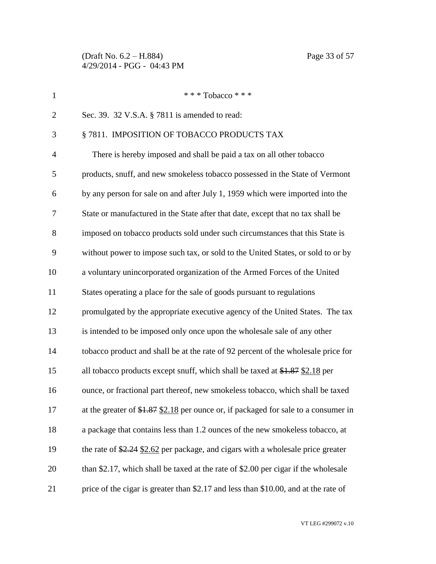(Draft No. 6.2 – H.884) Page 33 of 57 4/29/2014 - PGG - 04:43 PM

| $\mathbf{1}$   | * * * Tobacco * * *                                                                   |
|----------------|---------------------------------------------------------------------------------------|
| $\overline{2}$ | Sec. 39. 32 V.S.A. § 7811 is amended to read:                                         |
| 3              | § 7811. IMPOSITION OF TOBACCO PRODUCTS TAX                                            |
| $\overline{4}$ | There is hereby imposed and shall be paid a tax on all other tobacco                  |
| 5              | products, snuff, and new smokeless tobacco possessed in the State of Vermont          |
| 6              | by any person for sale on and after July 1, 1959 which were imported into the         |
| 7              | State or manufactured in the State after that date, except that no tax shall be       |
| 8              | imposed on tobacco products sold under such circumstances that this State is          |
| 9              | without power to impose such tax, or sold to the United States, or sold to or by      |
| 10             | a voluntary unincorporated organization of the Armed Forces of the United             |
| 11             | States operating a place for the sale of goods pursuant to regulations                |
| 12             | promulgated by the appropriate executive agency of the United States. The tax         |
| 13             | is intended to be imposed only once upon the wholesale sale of any other              |
| 14             | tobacco product and shall be at the rate of 92 percent of the wholesale price for     |
| 15             | all tobacco products except snuff, which shall be taxed at $$1.87$ $$2.18$ per        |
| 16             | ounce, or fractional part thereof, new smokeless tobacco, which shall be taxed        |
| 17             | at the greater of $$1.87$ $$2.18$ per ounce or, if packaged for sale to a consumer in |
| 18             | a package that contains less than 1.2 ounces of the new smokeless tobacco, at         |
| 19             | the rate of $2.24$ $2.62$ per package, and cigars with a wholesale price greater      |
| 20             | than \$2.17, which shall be taxed at the rate of \$2.00 per cigar if the wholesale    |
| 21             | price of the cigar is greater than \$2.17 and less than \$10.00, and at the rate of   |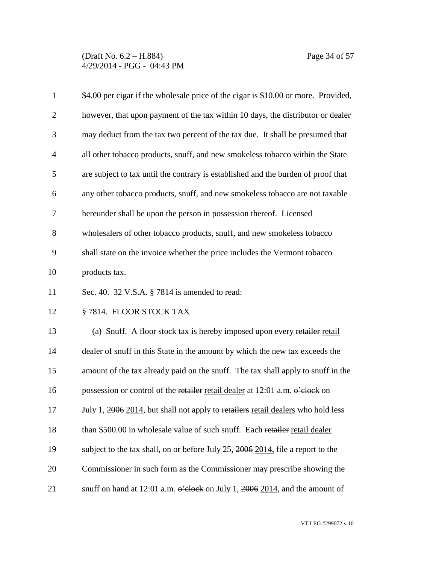(Draft No. 6.2 – H.884) Page 34 of 57 4/29/2014 - PGG - 04:43 PM

| $\mathbf{1}$   | \$4.00 per cigar if the wholesale price of the cigar is \$10.00 or more. Provided,         |
|----------------|--------------------------------------------------------------------------------------------|
| $\overline{2}$ | however, that upon payment of the tax within 10 days, the distributor or dealer            |
| 3              | may deduct from the tax two percent of the tax due. It shall be presumed that              |
| $\overline{4}$ | all other tobacco products, snuff, and new smokeless tobacco within the State              |
| 5              | are subject to tax until the contrary is established and the burden of proof that          |
| 6              | any other tobacco products, snuff, and new smokeless tobacco are not taxable               |
| 7              | hereunder shall be upon the person in possession thereof. Licensed                         |
| 8              | wholesalers of other tobacco products, snuff, and new smokeless tobacco                    |
| 9              | shall state on the invoice whether the price includes the Vermont tobacco                  |
| 10             | products tax.                                                                              |
| 11             | Sec. 40. 32 V.S.A. § 7814 is amended to read:                                              |
| 12             | § 7814. FLOOR STOCK TAX                                                                    |
| 13             | (a) Snuff. A floor stock tax is hereby imposed upon every retailer retail                  |
| 14             | dealer of snuff in this State in the amount by which the new tax exceeds the               |
| 15             | amount of the tax already paid on the snuff. The tax shall apply to snuff in the           |
| 16             | possession or control of the retailer retail dealer at 12:01 a.m. o'clock on               |
| 17             | July 1, 2006 2014, but shall not apply to retailers retail dealers who hold less           |
| 18             | than \$500.00 in wholesale value of such snuff. Each retailer retail dealer                |
| 19             | subject to the tax shall, on or before July 25, $\frac{2006}{2014}$ , file a report to the |
| 20             | Commissioner in such form as the Commissioner may prescribe showing the                    |
| 21             | snuff on hand at 12:01 a.m. $\theta$ -clock on July 1, 2006 2014, and the amount of        |

VT LEG #299072 v.10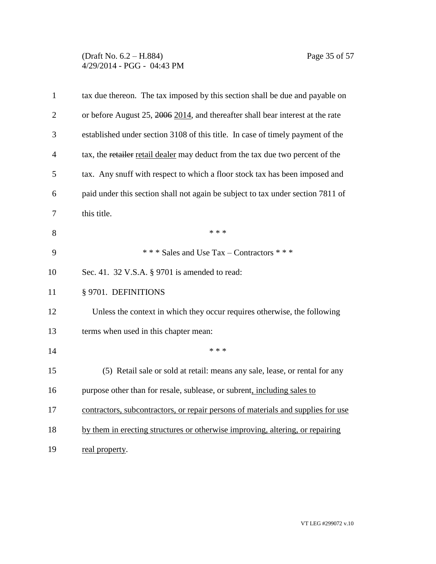# (Draft No. 6.2 – H.884) Page 35 of 57 4/29/2014 - PGG - 04:43 PM

| $\mathbf{1}$ | tax due thereon. The tax imposed by this section shall be due and payable on     |
|--------------|----------------------------------------------------------------------------------|
| 2            | or before August 25, 2006 2014, and thereafter shall bear interest at the rate   |
| 3            | established under section 3108 of this title. In case of timely payment of the   |
| 4            | tax, the retailer retail dealer may deduct from the tax due two percent of the   |
| 5            | tax. Any snuff with respect to which a floor stock tax has been imposed and      |
| 6            | paid under this section shall not again be subject to tax under section 7811 of  |
| 7            | this title.                                                                      |
| 8            | * * *                                                                            |
| 9            | *** Sales and Use Tax – Contractors ***                                          |
| 10           | Sec. 41. 32 V.S.A. § 9701 is amended to read:                                    |
| 11           | § 9701. DEFINITIONS                                                              |
| 12           | Unless the context in which they occur requires otherwise, the following         |
| 13           | terms when used in this chapter mean:                                            |
| 14           | * * *                                                                            |
| 15           | (5) Retail sale or sold at retail: means any sale, lease, or rental for any      |
| 16           | purpose other than for resale, sublease, or subrent, including sales to          |
| 17           | contractors, subcontractors, or repair persons of materials and supplies for use |
| 18           | by them in erecting structures or otherwise improving, altering, or repairing    |
| 19           | real property.                                                                   |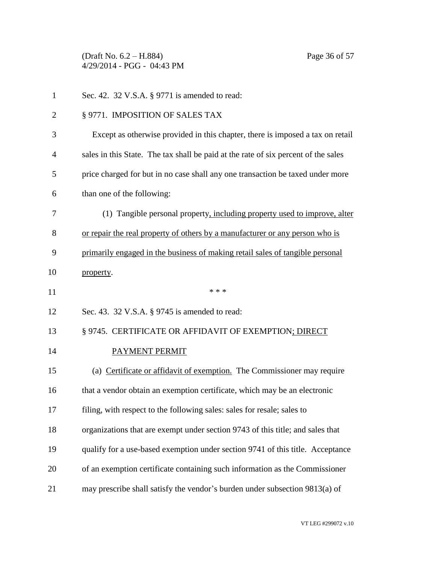(Draft No. 6.2 – H.884) Page 36 of 57 4/29/2014 - PGG - 04:43 PM

| $\mathbf{1}$   | Sec. 42. 32 V.S.A. § 9771 is amended to read:                                      |
|----------------|------------------------------------------------------------------------------------|
| $\overline{2}$ | § 9771. IMPOSITION OF SALES TAX                                                    |
| 3              | Except as otherwise provided in this chapter, there is imposed a tax on retail     |
| 4              | sales in this State. The tax shall be paid at the rate of six percent of the sales |
| 5              | price charged for but in no case shall any one transaction be taxed under more     |
| 6              | than one of the following:                                                         |
| 7              | (1) Tangible personal property, including property used to improve, alter          |
| 8              | or repair the real property of others by a manufacturer or any person who is       |
| 9              | primarily engaged in the business of making retail sales of tangible personal      |
| 10             | property.                                                                          |
| 11             | * * *                                                                              |
| 12             | Sec. 43. 32 V.S.A. § 9745 is amended to read:                                      |
| 13             | § 9745. CERTIFICATE OR AFFIDAVIT OF EXEMPTION; DIRECT                              |
| 14             | PAYMENT PERMIT                                                                     |
| 15             | (a) Certificate or affidavit of exemption. The Commissioner may require            |
| 16             | that a vendor obtain an exemption certificate, which may be an electronic          |
| 17             | filing, with respect to the following sales: sales for resale; sales to            |
| 18             | organizations that are exempt under section 9743 of this title; and sales that     |
| 19             | qualify for a use-based exemption under section 9741 of this title. Acceptance     |
| 20             | of an exemption certificate containing such information as the Commissioner        |
| 21             | may prescribe shall satisfy the vendor's burden under subsection 9813(a) of        |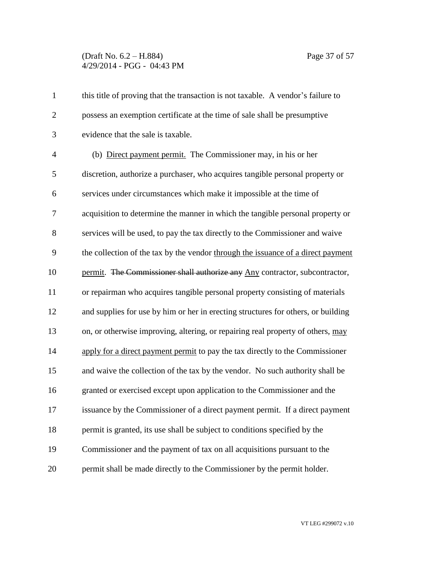# (Draft No. 6.2 – H.884) Page 37 of 57 4/29/2014 - PGG - 04:43 PM

| $\mathbf{1}$   | this title of proving that the transaction is not taxable. A vendor's failure to  |
|----------------|-----------------------------------------------------------------------------------|
| $\overline{2}$ | possess an exemption certificate at the time of sale shall be presumptive         |
| 3              | evidence that the sale is taxable.                                                |
| $\overline{4}$ | (b) Direct payment permit. The Commissioner may, in his or her                    |
| 5              | discretion, authorize a purchaser, who acquires tangible personal property or     |
| 6              | services under circumstances which make it impossible at the time of              |
| 7              | acquisition to determine the manner in which the tangible personal property or    |
| 8              | services will be used, to pay the tax directly to the Commissioner and waive      |
| 9              | the collection of the tax by the vendor through the issuance of a direct payment  |
| 10             | permit. The Commissioner shall authorize any Any contractor, subcontractor,       |
| 11             | or repairman who acquires tangible personal property consisting of materials      |
| 12             | and supplies for use by him or her in erecting structures for others, or building |
| 13             | on, or otherwise improving, altering, or repairing real property of others, may   |
| 14             | apply for a direct payment permit to pay the tax directly to the Commissioner     |
| 15             | and waive the collection of the tax by the vendor. No such authority shall be     |
| 16             | granted or exercised except upon application to the Commissioner and the          |
| 17             | issuance by the Commissioner of a direct payment permit. If a direct payment      |
| 18             | permit is granted, its use shall be subject to conditions specified by the        |
| 19             | Commissioner and the payment of tax on all acquisitions pursuant to the           |
| 20             | permit shall be made directly to the Commissioner by the permit holder.           |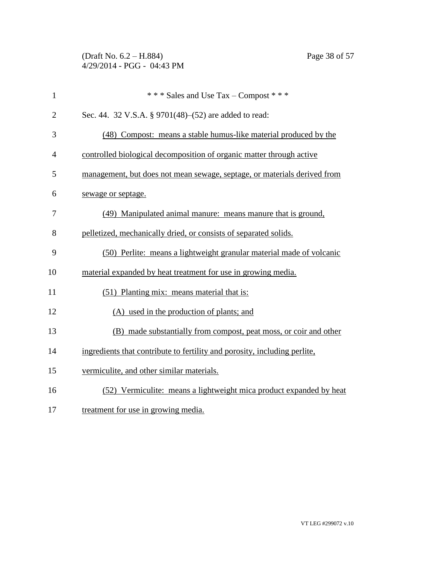(Draft No. 6.2 – H.884) Page 38 of 57 4/29/2014 - PGG - 04:43 PM

| $\mathbf{1}$   | *** Sales and Use Tax – Compost ***                                       |
|----------------|---------------------------------------------------------------------------|
| $\overline{2}$ | Sec. 44. 32 V.S.A. § 9701(48)–(52) are added to read:                     |
| 3              | (48) Compost: means a stable humus-like material produced by the          |
| $\overline{4}$ | controlled biological decomposition of organic matter through active      |
| 5              | management, but does not mean sewage, septage, or materials derived from  |
| 6              | sewage or septage.                                                        |
| 7              | (49) Manipulated animal manure: means manure that is ground,              |
| 8              | pelletized, mechanically dried, or consists of separated solids.          |
| 9              | (50) Perlite: means a lightweight granular material made of volcanic      |
| 10             | material expanded by heat treatment for use in growing media.             |
| 11             | (51) Planting mix: means material that is:                                |
| 12             | (A) used in the production of plants; and                                 |
| 13             | (B) made substantially from compost, peat moss, or coir and other         |
| 14             | ingredients that contribute to fertility and porosity, including perlite, |
| 15             | vermiculite, and other similar materials.                                 |
| 16             | (52) Vermiculite: means a lightweight mica product expanded by heat       |
| 17             | treatment for use in growing media.                                       |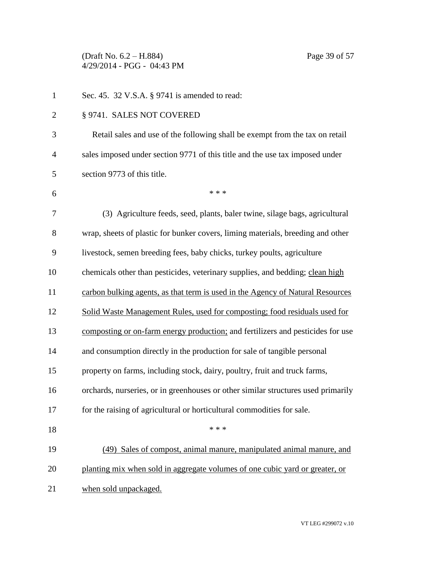(Draft No. 6.2 – H.884) Page 39 of 57 4/29/2014 - PGG - 04:43 PM

| $\mathbf{1}$   | Sec. 45. 32 V.S.A. § 9741 is amended to read:                                     |
|----------------|-----------------------------------------------------------------------------------|
| $\overline{2}$ | § 9741. SALES NOT COVERED                                                         |
| 3              | Retail sales and use of the following shall be exempt from the tax on retail      |
| $\overline{4}$ | sales imposed under section 9771 of this title and the use tax imposed under      |
| 5              | section 9773 of this title.                                                       |
| 6              | * * *                                                                             |
| 7              | (3) Agriculture feeds, seed, plants, baler twine, silage bags, agricultural       |
| 8              | wrap, sheets of plastic for bunker covers, liming materials, breeding and other   |
| 9              | livestock, semen breeding fees, baby chicks, turkey poults, agriculture           |
| 10             | chemicals other than pesticides, veterinary supplies, and bedding; clean high     |
| 11             | carbon bulking agents, as that term is used in the Agency of Natural Resources    |
| 12             | Solid Waste Management Rules, used for composting; food residuals used for        |
| 13             | composting or on-farm energy production; and fertilizers and pesticides for use   |
| 14             | and consumption directly in the production for sale of tangible personal          |
| 15             | property on farms, including stock, dairy, poultry, fruit and truck farms,        |
| 16             | orchards, nurseries, or in greenhouses or other similar structures used primarily |
| 17             | for the raising of agricultural or horticultural commodities for sale.            |
| 18             | * * *                                                                             |
| 19             | (49) Sales of compost, animal manure, manipulated animal manure, and              |
| 20             | planting mix when sold in aggregate volumes of one cubic yard or greater, or      |
| 21             | when sold unpackaged.                                                             |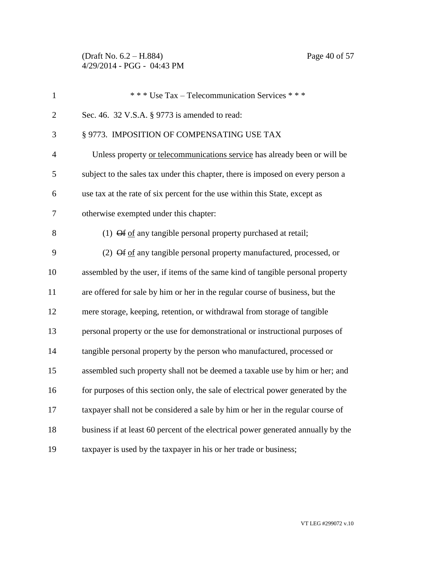(Draft No. 6.2 – H.884) Page 40 of 57 4/29/2014 - PGG - 04:43 PM

| $\mathbf{1}$   | *** Use Tax - Telecommunication Services ***                                      |
|----------------|-----------------------------------------------------------------------------------|
| $\overline{2}$ | Sec. 46. 32 V.S.A. § 9773 is amended to read:                                     |
| 3              | § 9773. IMPOSITION OF COMPENSATING USE TAX                                        |
| $\overline{4}$ | Unless property or telecommunications service has already been or will be         |
| 5              | subject to the sales tax under this chapter, there is imposed on every person a   |
| 6              | use tax at the rate of six percent for the use within this State, except as       |
| 7              | otherwise exempted under this chapter:                                            |
| 8              | $(1)$ $\Theta$ f of any tangible personal property purchased at retail;           |
| 9              | (2) Of of any tangible personal property manufactured, processed, or              |
| 10             | assembled by the user, if items of the same kind of tangible personal property    |
| 11             | are offered for sale by him or her in the regular course of business, but the     |
| 12             | mere storage, keeping, retention, or withdrawal from storage of tangible          |
| 13             | personal property or the use for demonstrational or instructional purposes of     |
| 14             | tangible personal property by the person who manufactured, processed or           |
| 15             | assembled such property shall not be deemed a taxable use by him or her; and      |
| 16             | for purposes of this section only, the sale of electrical power generated by the  |
| 17             | taxpayer shall not be considered a sale by him or her in the regular course of    |
| 18             | business if at least 60 percent of the electrical power generated annually by the |
| 19             | taxpayer is used by the taxpayer in his or her trade or business;                 |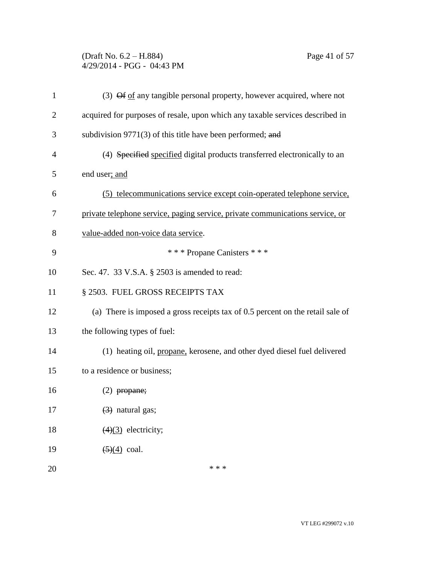### (Draft No. 6.2 – H.884) Page 41 of 57 4/29/2014 - PGG - 04:43 PM

| 1              | (3) $\Theta$ f of any tangible personal property, however acquired, where not  |
|----------------|--------------------------------------------------------------------------------|
| $\overline{2}$ | acquired for purposes of resale, upon which any taxable services described in  |
| 3              | subdivision $9771(3)$ of this title have been performed; and                   |
| 4              | (4) Specified specified digital products transferred electronically to an      |
| 5              | end user; and                                                                  |
| 6              | (5) telecommunications service except coin-operated telephone service,         |
| 7              | private telephone service, paging service, private communications service, or  |
| 8              | value-added non-voice data service.                                            |
| 9              | *** Propane Canisters ***                                                      |
| 10             | Sec. 47. 33 V.S.A. § 2503 is amended to read:                                  |
| 11             | § 2503. FUEL GROSS RECEIPTS TAX                                                |
| 12             | (a) There is imposed a gross receipts tax of 0.5 percent on the retail sale of |
| 13             | the following types of fuel:                                                   |
| 14             | (1) heating oil, propane, kerosene, and other dyed diesel fuel delivered       |
| 15             | to a residence or business;                                                    |
| 16             | $(2)$ propane;                                                                 |
| 17             | $(3)$ natural gas;                                                             |
| 18             | $(4)(3)$ electricity;                                                          |
| 19             | $\left(\frac{5}{4}\right)$ coal.                                               |
| 20             | * * *                                                                          |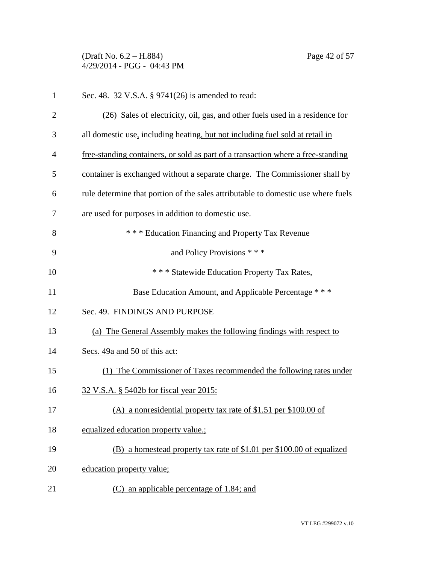(Draft No. 6.2 – H.884) Page 42 of 57 4/29/2014 - PGG - 04:43 PM

 Sec. 48. 32 V.S.A. § 9741(26) is amended to read: (26) Sales of electricity, oil, gas, and other fuels used in a residence for all domestic use, including heating, but not including fuel sold at retail in free-standing containers, or sold as part of a transaction where a free-standing container is exchanged without a separate charge. The Commissioner shall by rule determine that portion of the sales attributable to domestic use where fuels are used for purposes in addition to domestic use. \* \* \* Education Financing and Property Tax Revenue and Policy Provisions \* \* \* **\*\*\*** Statewide Education Property Tax Rates, 11 Base Education Amount, and Applicable Percentage \* \* \* Sec. 49. FINDINGS AND PURPOSE (a) The General Assembly makes the following findings with respect to Secs. 49a and 50 of this act: (1) The Commissioner of Taxes recommended the following rates under 32 V.S.A. § 5402b for fiscal year 2015: (A) a nonresidential property tax rate of \$1.51 per \$100.00 of equalized education property value.; (B) a homestead property tax rate of \$1.01 per \$100.00 of equalized education property value; (C) an applicable percentage of 1.84; and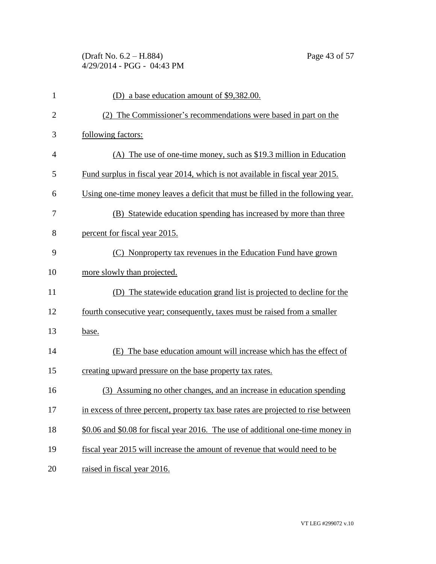(Draft No. 6.2 – H.884) Page 43 of 57 4/29/2014 - PGG - 04:43 PM

| $\mathbf{1}$   | (D) a base education amount of \$9,382.00.                                        |
|----------------|-----------------------------------------------------------------------------------|
| $\overline{2}$ | (2) The Commissioner's recommendations were based in part on the                  |
| 3              | following factors:                                                                |
| 4              | (A) The use of one-time money, such as $$19.3$ million in Education               |
| 5              | Fund surplus in fiscal year 2014, which is not available in fiscal year 2015.     |
| 6              | Using one-time money leaves a deficit that must be filled in the following year.  |
| 7              | (B) Statewide education spending has increased by more than three                 |
| 8              | percent for fiscal year 2015.                                                     |
| 9              | (C) Nonproperty tax revenues in the Education Fund have grown                     |
| 10             | more slowly than projected.                                                       |
| 11             | (D) The statewide education grand list is projected to decline for the            |
| 12             | fourth consecutive year; consequently, taxes must be raised from a smaller        |
| 13             | base.                                                                             |
| 14             | (E) The base education amount will increase which has the effect of               |
| 15             | creating upward pressure on the base property tax rates.                          |
| 16             | (3) Assuming no other changes, and an increase in education spending              |
| 17             | in excess of three percent, property tax base rates are projected to rise between |
| 18             | \$0.06 and \$0.08 for fiscal year 2016. The use of additional one-time money in   |
| 19             | fiscal year 2015 will increase the amount of revenue that would need to be        |
| 20             | raised in fiscal year 2016.                                                       |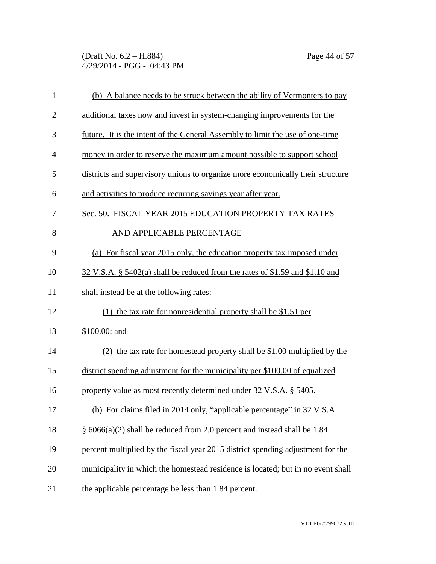(Draft No. 6.2 – H.884) Page 44 of 57 4/29/2014 - PGG - 04:43 PM

| $\mathbf{1}$   | (b) A balance needs to be struck between the ability of Vermonters to pay       |
|----------------|---------------------------------------------------------------------------------|
| $\overline{c}$ | additional taxes now and invest in system-changing improvements for the         |
| 3              | future. It is the intent of the General Assembly to limit the use of one-time   |
| $\overline{4}$ | money in order to reserve the maximum amount possible to support school         |
| 5              | districts and supervisory unions to organize more economically their structure  |
| 6              | and activities to produce recurring savings year after year.                    |
| 7              | Sec. 50. FISCAL YEAR 2015 EDUCATION PROPERTY TAX RATES                          |
| 8              | AND APPLICABLE PERCENTAGE                                                       |
| 9              | (a) For fiscal year 2015 only, the education property tax imposed under         |
| 10             | 32 V.S.A. § 5402(a) shall be reduced from the rates of \$1.59 and \$1.10 and    |
| 11             | shall instead be at the following rates:                                        |
| 12             | (1) the tax rate for nonresidential property shall be $$1.51$ per               |
| 13             | \$100.00; and                                                                   |
| 14             | (2) the tax rate for homestead property shall be \$1.00 multiplied by the       |
| 15             | district spending adjustment for the municipality per \$100.00 of equalized     |
| 16             | property value as most recently determined under 32 V.S.A. § 5405.              |
| 17             | (b) For claims filed in 2014 only, "applicable percentage" in 32 V.S.A.         |
| 18             | $\S$ 6066(a)(2) shall be reduced from 2.0 percent and instead shall be 1.84     |
| 19             | percent multiplied by the fiscal year 2015 district spending adjustment for the |
| 20             | municipality in which the homestead residence is located; but in no event shall |
| 21             | the applicable percentage be less than 1.84 percent.                            |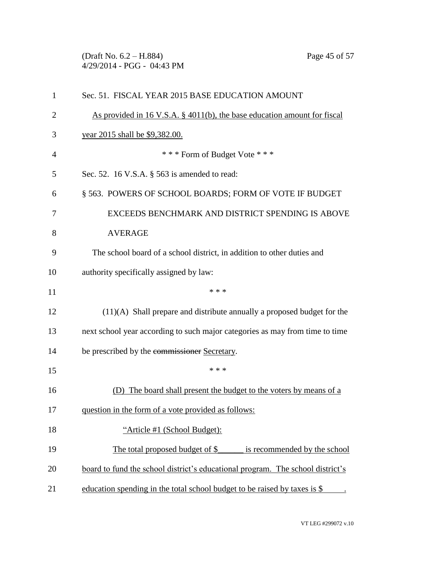(Draft No. 6.2 – H.884) Page 45 of 57 4/29/2014 - PGG - 04:43 PM

| $\mathbf{1}$   | Sec. 51. FISCAL YEAR 2015 BASE EDUCATION AMOUNT                                |
|----------------|--------------------------------------------------------------------------------|
| $\overline{2}$ | As provided in 16 V.S.A. § 4011(b), the base education amount for fiscal       |
| 3              | year 2015 shall be \$9,382.00.                                                 |
| $\overline{4}$ | *** Form of Budget Vote ***                                                    |
| 5              | Sec. 52. 16 V.S.A. $\S$ 563 is amended to read:                                |
| 6              | § 563. POWERS OF SCHOOL BOARDS; FORM OF VOTE IF BUDGET                         |
| 7              | EXCEEDS BENCHMARK AND DISTRICT SPENDING IS ABOVE                               |
| 8              | <b>AVERAGE</b>                                                                 |
| 9              | The school board of a school district, in addition to other duties and         |
| 10             | authority specifically assigned by law:                                        |
| 11             | * * *                                                                          |
| 12             | $(11)(A)$ Shall prepare and distribute annually a proposed budget for the      |
| 13             | next school year according to such major categories as may from time to time   |
| 14             | be prescribed by the commissioner Secretary.                                   |
| 15             | * * *                                                                          |
| 16             | The board shall present the budget to the voters by means of a                 |
| 17             | question in the form of a vote provided as follows:                            |
| 18             | "Article #1 (School Budget):                                                   |
| 19             | The total proposed budget of \$<br>is recommended by the school                |
| 20             | board to fund the school district's educational program. The school district's |
| 21             | education spending in the total school budget to be raised by taxes is \$      |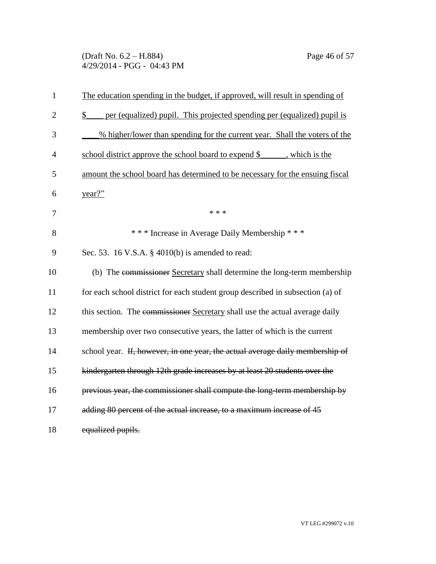(Draft No. 6.2 – H.884) Page 46 of 57 4/29/2014 - PGG - 04:43 PM

| $\mathbf{1}$   | The education spending in the budget, if approved, will result in spending of                |
|----------------|----------------------------------------------------------------------------------------------|
| $\overline{2}$ | per (equalized) pupil. This projected spending per (equalized) pupil is<br>$\mathcal{S}_{1}$ |
| 3              | % higher/lower than spending for the current year. Shall the voters of the                   |
| 4              | school district approve the school board to expend \$, which is the                          |
| 5              | amount the school board has determined to be necessary for the ensuing fiscal                |
| 6              | year?                                                                                        |
| 7              | * * *                                                                                        |
| 8              | *** Increase in Average Daily Membership ***                                                 |
| 9              | Sec. 53. 16 V.S.A. § 4010(b) is amended to read:                                             |
| 10             | (b) The commissioner Secretary shall determine the long-term membership                      |
| 11             | for each school district for each student group described in subsection (a) of               |
| 12             | this section. The commissioner Secretary shall use the actual average daily                  |
| 13             | membership over two consecutive years, the latter of which is the current                    |
| 14             | school year. If, however, in one year, the actual average daily membership of                |
| 15             | kindergarten through 12th grade increases by at least 20 students over the                   |
| 16             | previous year, the commissioner shall compute the long-term membership by                    |
| 17             | adding 80 percent of the actual increase, to a maximum increase of 45                        |
| 18             | equalized pupils.                                                                            |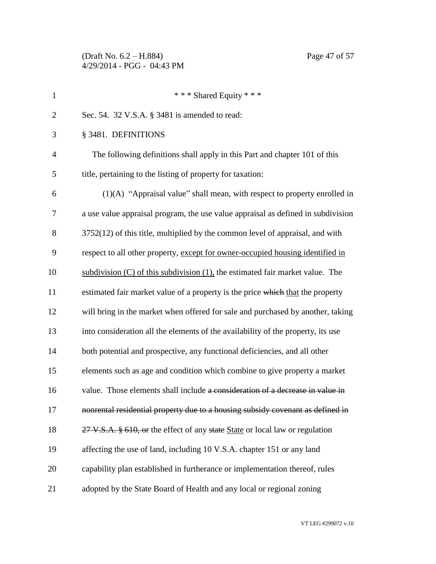(Draft No. 6.2 – H.884) Page 47 of 57 4/29/2014 - PGG - 04:43 PM

| $\mathbf{1}$   | *** Shared Equity ***                                                              |
|----------------|------------------------------------------------------------------------------------|
| $\overline{2}$ | Sec. 54. 32 V.S.A. § 3481 is amended to read:                                      |
| 3              | § 3481. DEFINITIONS                                                                |
| $\overline{4}$ | The following definitions shall apply in this Part and chapter 101 of this         |
| 5              | title, pertaining to the listing of property for taxation:                         |
| 6              | $(1)(A)$ "Appraisal value" shall mean, with respect to property enrolled in        |
| 7              | a use value appraisal program, the use value appraisal as defined in subdivision   |
| 8              | $3752(12)$ of this title, multiplied by the common level of appraisal, and with    |
| 9              | respect to all other property, except for owner-occupied housing identified in     |
| 10             | subdivision $(C)$ of this subdivision $(1)$ , the estimated fair market value. The |
| 11             | estimated fair market value of a property is the price which that the property     |
| 12             | will bring in the market when offered for sale and purchased by another, taking    |
| 13             | into consideration all the elements of the availability of the property, its use   |
| 14             | both potential and prospective, any functional deficiencies, and all other         |
| 15             | elements such as age and condition which combine to give property a market         |

16 value. Those elements shall include a consideration of a decrease in value in

17 nonrental residential property due to a housing subsidy covenant as defined in

18 27 V.S.A. § 610, or the effect of any state State or local law or regulation

affecting the use of land, including 10 V.S.A. chapter 151 or any land

capability plan established in furtherance or implementation thereof, rules

adopted by the State Board of Health and any local or regional zoning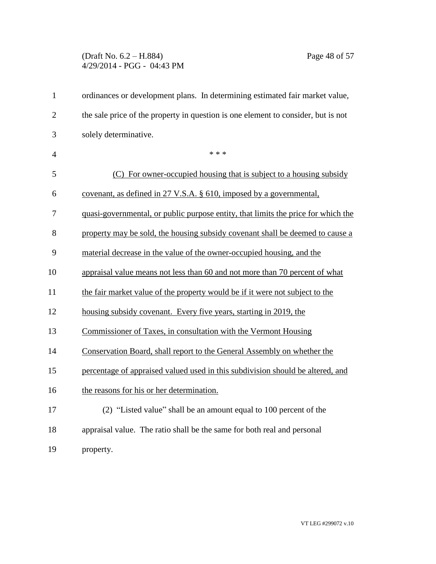## (Draft No. 6.2 – H.884) Page 48 of 57 4/29/2014 - PGG - 04:43 PM

| $\mathbf{1}$   | ordinances or development plans. In determining estimated fair market value,      |
|----------------|-----------------------------------------------------------------------------------|
| $\overline{2}$ | the sale price of the property in question is one element to consider, but is not |
| 3              | solely determinative.                                                             |
| $\overline{4}$ | * * *                                                                             |
| 5              | (C) For owner-occupied housing that is subject to a housing subsidy               |
| 6              | covenant, as defined in 27 V.S.A. § 610, imposed by a governmental,               |
| 7              | quasi-governmental, or public purpose entity, that limits the price for which the |
| 8              | property may be sold, the housing subsidy covenant shall be deemed to cause a     |
| 9              | material decrease in the value of the owner-occupied housing, and the             |
| 10             | appraisal value means not less than 60 and not more than 70 percent of what       |
| 11             | the fair market value of the property would be if it were not subject to the      |
| 12             | housing subsidy covenant. Every five years, starting in 2019, the                 |
| 13             | Commissioner of Taxes, in consultation with the Vermont Housing                   |
| 14             | Conservation Board, shall report to the General Assembly on whether the           |
| 15             | percentage of appraised valued used in this subdivision should be altered, and    |
| 16             | the reasons for his or her determination.                                         |
| 17             | (2) "Listed value" shall be an amount equal to 100 percent of the                 |
| 18             | appraisal value. The ratio shall be the same for both real and personal           |
| 19             | property.                                                                         |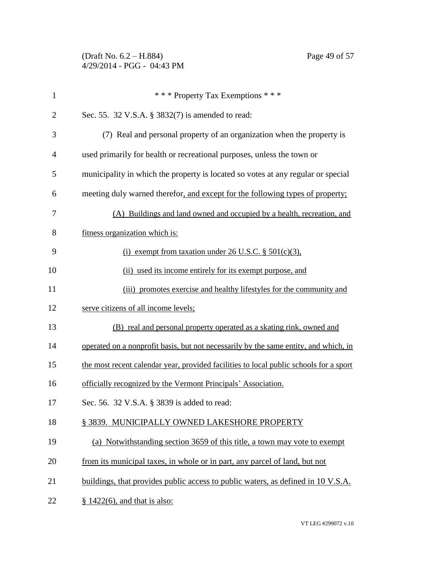(Draft No. 6.2 – H.884) Page 49 of 57 4/29/2014 - PGG - 04:43 PM

| $\mathbf{1}$   | *** Property Tax Exemptions ***                                                        |
|----------------|----------------------------------------------------------------------------------------|
| $\overline{2}$ | Sec. 55. 32 V.S.A. § 3832(7) is amended to read:                                       |
| 3              | (7) Real and personal property of an organization when the property is                 |
| $\overline{4}$ | used primarily for health or recreational purposes, unless the town or                 |
| 5              | municipality in which the property is located so votes at any regular or special       |
| 6              | meeting duly warned therefor, and except for the following types of property;          |
| 7              | (A) Buildings and land owned and occupied by a health, recreation, and                 |
| 8              | fitness organization which is:                                                         |
| 9              | (i) exempt from taxation under $26$ U.S.C. § $501(c)(3)$ ,                             |
| 10             | (ii) used its income entirely for its exempt purpose, and                              |
| 11             | (iii) promotes exercise and healthy lifestyles for the community and                   |
| 12             | serve citizens of all income levels;                                                   |
| 13             | (B) real and personal property operated as a skating rink, owned and                   |
| 14             | operated on a nonprofit basis, but not necessarily by the same entity, and which, in   |
| 15             | the most recent calendar year, provided facilities to local public schools for a sport |
| 16             | officially recognized by the Vermont Principals' Association.                          |
| 17             | Sec. 56. 32 V.S.A. § 3839 is added to read:                                            |
| 18             | § 3839. MUNICIPALLY OWNED LAKESHORE PROPERTY                                           |
| 19             | (a) Notwithstanding section 3659 of this title, a town may vote to exempt              |
| 20             | from its municipal taxes, in whole or in part, any parcel of land, but not             |
| 21             | buildings, that provides public access to public waters, as defined in 10 V.S.A.       |
| 22             | $§ 1422(6)$ , and that is also:                                                        |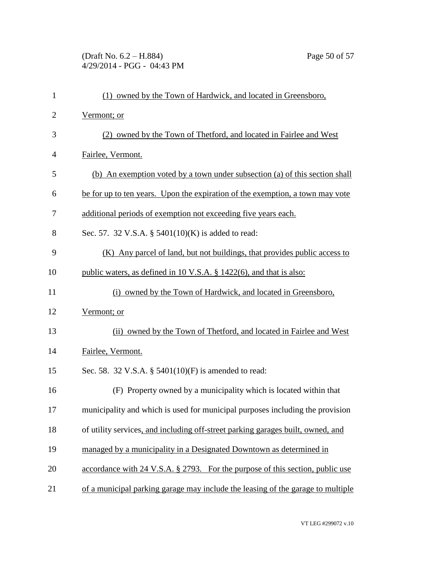(Draft No. 6.2 – H.884) Page 50 of 57 4/29/2014 - PGG - 04:43 PM

| $\mathbf{1}$ | (1) owned by the Town of Hardwick, and located in Greensboro,                   |
|--------------|---------------------------------------------------------------------------------|
| $\mathbf{2}$ | Vermont; or                                                                     |
| 3            | (2) owned by the Town of Thetford, and located in Fairlee and West              |
| 4            | Fairlee, Vermont.                                                               |
| 5            | (b) An exemption voted by a town under subsection (a) of this section shall     |
| 6            | be for up to ten years. Upon the expiration of the exemption, a town may vote   |
| 7            | additional periods of exemption not exceeding five years each.                  |
| 8            | Sec. 57. 32 V.S.A. § 5401(10)(K) is added to read:                              |
| 9            | (K) Any parcel of land, but not buildings, that provides public access to       |
| 10           | public waters, as defined in 10 V.S.A. § 1422(6), and that is also:             |
| 11           | (i) owned by the Town of Hardwick, and located in Greensboro,                   |
| 12           | Vermont; or                                                                     |
| 13           | (ii) owned by the Town of Thetford, and located in Fairlee and West             |
| 14           | Fairlee, Vermont.                                                               |
| 15           | Sec. 58. 32 V.S.A. § 5401(10)(F) is amended to read:                            |
| 16           | (F) Property owned by a municipality which is located within that               |
| 17           | municipality and which is used for municipal purposes including the provision   |
| 18           | of utility services, and including off-street parking garages built, owned, and |
| 19           | managed by a municipality in a Designated Downtown as determined in             |
| 20           | accordance with 24 V.S.A. § 2793. For the purpose of this section, public use   |
| 21           | of a municipal parking garage may include the leasing of the garage to multiple |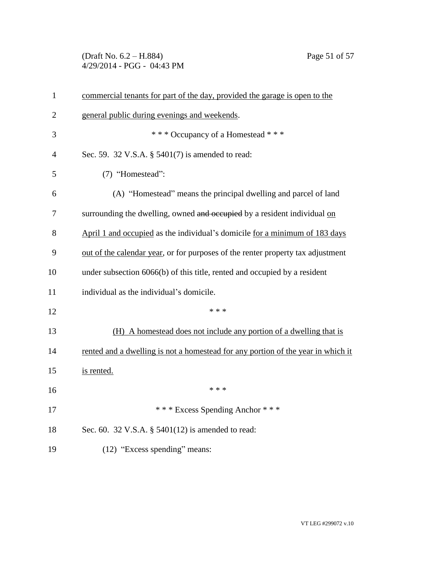(Draft No. 6.2 – H.884) Page 51 of 57 4/29/2014 - PGG - 04:43 PM

| 1              | commercial tenants for part of the day, provided the garage is open to the       |
|----------------|----------------------------------------------------------------------------------|
| $\overline{2}$ | general public during evenings and weekends.                                     |
| 3              | *** Occupancy of a Homestead ***                                                 |
| $\overline{4}$ | Sec. 59. 32 V.S.A. § 5401(7) is amended to read:                                 |
| 5              | (7) "Homestead":                                                                 |
| 6              | (A) "Homestead" means the principal dwelling and parcel of land                  |
| 7              | surrounding the dwelling, owned and occupied by a resident individual on         |
| 8              | April 1 and occupied as the individual's domicile for a minimum of 183 days      |
| 9              | out of the calendar year, or for purposes of the renter property tax adjustment  |
| 10             | under subsection 6066(b) of this title, rented and occupied by a resident        |
| 11             | individual as the individual's domicile.                                         |
| 12             | * * *                                                                            |
| 13             | (H) A homestead does not include any portion of a dwelling that is               |
| 14             | rented and a dwelling is not a homestead for any portion of the year in which it |
| 15             | is rented.                                                                       |
| 16             | * * *                                                                            |
| 17             | *** Excess Spending Anchor ***                                                   |
| 18             | Sec. 60. 32 V.S.A. § 5401(12) is amended to read:                                |
| 19             | (12) "Excess spending" means:                                                    |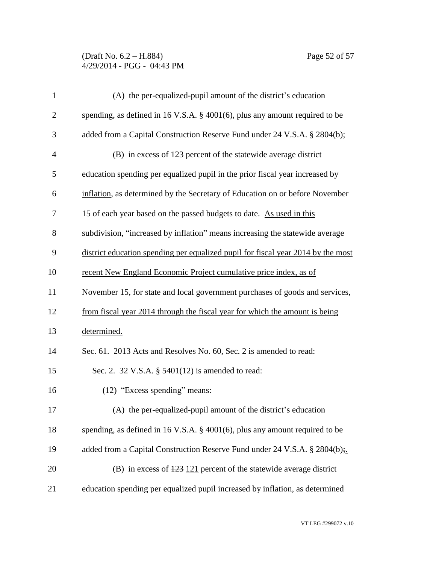### (Draft No. 6.2 – H.884) Page 52 of 57 4/29/2014 - PGG - 04:43 PM

| $\mathbf{1}$   | (A) the per-equalized-pupil amount of the district's education                   |
|----------------|----------------------------------------------------------------------------------|
| $\overline{2}$ | spending, as defined in 16 V.S.A. § 4001(6), plus any amount required to be      |
| 3              | added from a Capital Construction Reserve Fund under 24 V.S.A. § 2804(b);        |
| $\overline{4}$ | (B) in excess of 123 percent of the statewide average district                   |
| 5              | education spending per equalized pupil in the prior fiscal year increased by     |
| 6              | inflation, as determined by the Secretary of Education on or before November     |
| 7              | 15 of each year based on the passed budgets to date. As used in this             |
| $8\,$          | subdivision, "increased by inflation" means increasing the statewide average     |
| 9              | district education spending per equalized pupil for fiscal year 2014 by the most |
| 10             | recent New England Economic Project cumulative price index, as of                |
| 11             | November 15, for state and local government purchases of goods and services,     |
| 12             | from fiscal year 2014 through the fiscal year for which the amount is being      |
| 13             | determined.                                                                      |
| 14             | Sec. 61. 2013 Acts and Resolves No. 60, Sec. 2 is amended to read:               |
| 15             | Sec. 2. 32 V.S.A. § 5401(12) is amended to read:                                 |
| 16             | (12) "Excess spending" means:                                                    |
| 17             | (A) the per-equalized-pupil amount of the district's education                   |
| 18             | spending, as defined in 16 V.S.A. $\S$ 4001(6), plus any amount required to be   |
| 19             | added from a Capital Construction Reserve Fund under 24 V.S.A. § 2804(b);        |
| 20             | (B) in excess of $\frac{123}{121}$ percent of the statewide average district     |
| 21             | education spending per equalized pupil increased by inflation, as determined     |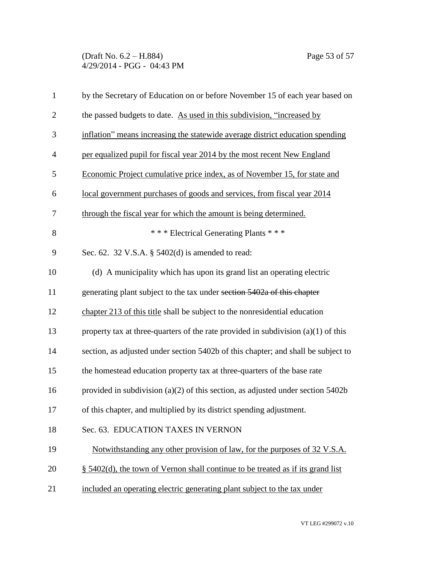(Draft No. 6.2 – H.884) Page 53 of 57 4/29/2014 - PGG - 04:43 PM

| $\mathbf{1}$   | by the Secretary of Education on or before November 15 of each year based on        |
|----------------|-------------------------------------------------------------------------------------|
| $\mathbf{2}$   | the passed budgets to date. As used in this subdivision, "increased by              |
| 3              | inflation" means increasing the statewide average district education spending       |
| $\overline{4}$ | per equalized pupil for fiscal year 2014 by the most recent New England             |
| 5              | Economic Project cumulative price index, as of November 15, for state and           |
| 6              | local government purchases of goods and services, from fiscal year 2014             |
| $\tau$         | through the fiscal year for which the amount is being determined.                   |
| 8              | *** Electrical Generating Plants ***                                                |
| 9              | Sec. 62. 32 V.S.A. § 5402(d) is amended to read:                                    |
| 10             | (d) A municipality which has upon its grand list an operating electric              |
| 11             | generating plant subject to the tax under section 5402a of this chapter             |
| 12             | chapter 213 of this title shall be subject to the nonresidential education          |
| 13             | property tax at three-quarters of the rate provided in subdivision $(a)(1)$ of this |
| 14             | section, as adjusted under section 5402b of this chapter; and shall be subject to   |
| 15             | the homestead education property tax at three-quarters of the base rate             |
| 16             | provided in subdivision (a)(2) of this section, as adjusted under section $5402b$   |
| 17             | of this chapter, and multiplied by its district spending adjustment.                |
| 18             | Sec. 63. EDUCATION TAXES IN VERNON                                                  |
| 19             | Notwithstanding any other provision of law, for the purposes of 32 V.S.A.           |
| 20             | $\S$ 5402(d), the town of Vernon shall continue to be treated as if its grand list  |
| 21             | included an operating electric generating plant subject to the tax under            |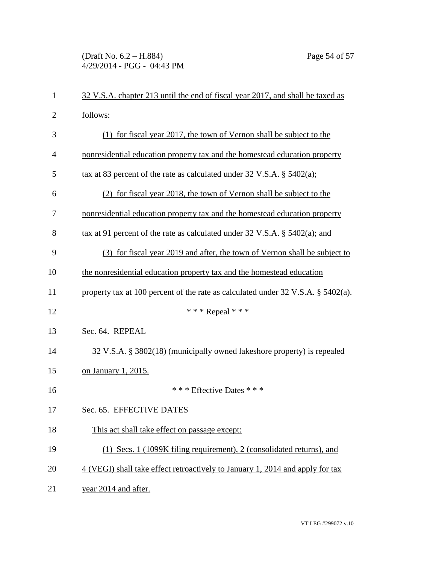(Draft No. 6.2 – H.884) Page 54 of 57 4/29/2014 - PGG - 04:43 PM

| $\mathbf{1}$   | 32 V.S.A. chapter 213 until the end of fiscal year 2017, and shall be taxed as                 |
|----------------|------------------------------------------------------------------------------------------------|
| $\overline{2}$ | follows:                                                                                       |
| 3              | (1) for fiscal year 2017, the town of Vernon shall be subject to the                           |
| $\overline{4}$ | nonresidential education property tax and the homestead education property                     |
| 5              | tax at 83 percent of the rate as calculated under 32 V.S.A. $\S$ 5402(a);                      |
| 6              | (2) for fiscal year 2018, the town of Vernon shall be subject to the                           |
| 7              | nonresidential education property tax and the homestead education property                     |
| 8              | tax at 91 percent of the rate as calculated under 32 V.S.A. $\S$ 5402(a); and                  |
| 9              | (3) for fiscal year 2019 and after, the town of Vernon shall be subject to                     |
| 10             | the nonresidential education property tax and the homestead education                          |
| 11             | property tax at 100 percent of the rate as calculated under $32 \text{ V.S.A. }$ § $5402(a)$ . |
| 12             | *** Repeal ***                                                                                 |
| 13             | Sec. 64. REPEAL                                                                                |
| 14             | 32 V.S.A. § 3802(18) (municipally owned lakeshore property) is repealed                        |
| 15             | on January 1, 2015.                                                                            |
| 16             | * * * Effective Dates * * *                                                                    |
| 17             | Sec. 65. EFFECTIVE DATES                                                                       |
| 18             | This act shall take effect on passage except:                                                  |
| 19             | (1) Secs. 1 (1099K filing requirement), 2 (consolidated returns), and                          |
| 20             | 4 (VEGI) shall take effect retroactively to January 1, 2014 and apply for tax                  |
| 21             | year 2014 and after.                                                                           |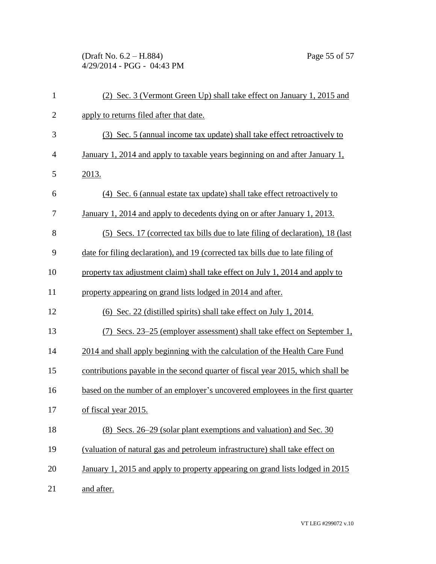(Draft No. 6.2 – H.884) Page 55 of 57 4/29/2014 - PGG - 04:43 PM

| $\mathbf{1}$   | (2) Sec. 3 (Vermont Green Up) shall take effect on January 1, 2015 and          |
|----------------|---------------------------------------------------------------------------------|
| $\overline{2}$ | apply to returns filed after that date.                                         |
| 3              | (3) Sec. 5 (annual income tax update) shall take effect retroactively to        |
| $\overline{4}$ | January 1, 2014 and apply to taxable years beginning on and after January 1,    |
| 5              | 2013.                                                                           |
| 6              | (4) Sec. 6 (annual estate tax update) shall take effect retroactively to        |
| $\overline{7}$ | January 1, 2014 and apply to decedents dying on or after January 1, 2013.       |
| 8              | (5) Secs. 17 (corrected tax bills due to late filing of declaration), 18 (last  |
| 9              | date for filing declaration), and 19 (corrected tax bills due to late filing of |
| 10             | property tax adjustment claim) shall take effect on July 1, 2014 and apply to   |
| 11             | property appearing on grand lists lodged in 2014 and after.                     |
| 12             | (6) Sec. 22 (distilled spirits) shall take effect on July 1, 2014.              |
| 13             | (7) Secs. 23–25 (employer assessment) shall take effect on September 1,         |
| 14             | 2014 and shall apply beginning with the calculation of the Health Care Fund     |
| 15             | contributions payable in the second quarter of fiscal year 2015, which shall be |
| 16             | based on the number of an employer's uncovered employees in the first quarter   |
| 17             | of fiscal year 2015.                                                            |
| 18             | (8) Secs. 26–29 (solar plant exemptions and valuation) and Sec. 30              |
| 19             | (valuation of natural gas and petroleum infrastructure) shall take effect on    |
| 20             | January 1, 2015 and apply to property appearing on grand lists lodged in 2015   |
| 21             | and after.                                                                      |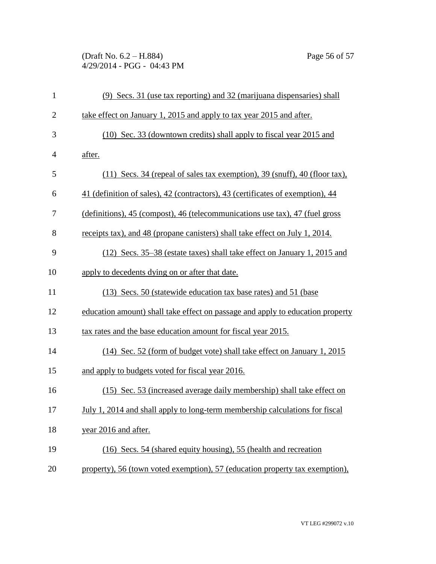(Draft No. 6.2 – H.884) Page 56 of 57 4/29/2014 - PGG - 04:43 PM

| $\mathbf{1}$   | (9) Secs. 31 (use tax reporting) and 32 (marijuana dispensaries) shall         |
|----------------|--------------------------------------------------------------------------------|
| $\overline{2}$ | take effect on January 1, 2015 and apply to tax year 2015 and after.           |
| 3              | (10) Sec. 33 (downtown credits) shall apply to fiscal year 2015 and            |
| 4              | after.                                                                         |
| 5              | $(11)$ Secs. 34 (repeal of sales tax exemption), 39 (snuff), 40 (floor tax),   |
| 6              | 41 (definition of sales), 42 (contractors), 43 (certificates of exemption), 44 |
| 7              | (definitions), 45 (compost), 46 (telecommunications use tax), 47 (fuel gross)  |
| 8              | receipts tax), and 48 (propane canisters) shall take effect on July 1, 2014.   |
| 9              | (12) Secs. 35–38 (estate taxes) shall take effect on January 1, 2015 and       |
| 10             | apply to decedents dying on or after that date.                                |
| 11             | (13) Secs. 50 (statewide education tax base rates) and 51 (base                |
| 12             | education amount) shall take effect on passage and apply to education property |
| 13             | tax rates and the base education amount for fiscal year 2015.                  |
| 14             | (14) Sec. 52 (form of budget vote) shall take effect on January 1, 2015        |
| 15             | and apply to budgets voted for fiscal year 2016.                               |
| 16             | (15) Sec. 53 (increased average daily membership) shall take effect on         |
| 17             | July 1, 2014 and shall apply to long-term membership calculations for fiscal   |
| 18             | year 2016 and after.                                                           |
| 19             | (16) Secs. 54 (shared equity housing), 55 (health and recreation               |
| 20             | property), 56 (town voted exemption), 57 (education property tax exemption),   |